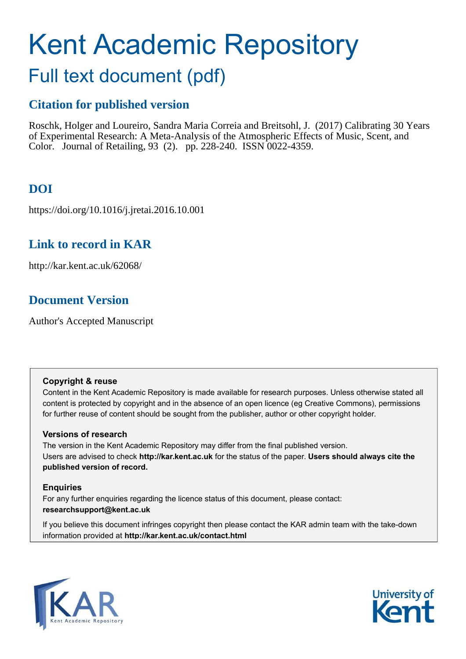# Kent Academic Repository

## Full text document (pdf)

## **Citation for published version**

Roschk, Holger and Loureiro, Sandra Maria Correia and Breitsohl, J. (2017) Calibrating 30 Years of Experimental Research: A Meta-Analysis of the Atmospheric Effects of Music, Scent, and Color. Journal of Retailing, 93 (2). pp. 228-240. ISSN 0022-4359.

## **DOI**

https://doi.org/10.1016/j.jretai.2016.10.001

## **Link to record in KAR**

http://kar.kent.ac.uk/62068/

## **Document Version**

Author's Accepted Manuscript

#### **Copyright & reuse**

Content in the Kent Academic Repository is made available for research purposes. Unless otherwise stated all content is protected by copyright and in the absence of an open licence (eg Creative Commons), permissions for further reuse of content should be sought from the publisher, author or other copyright holder.

#### **Versions of research**

The version in the Kent Academic Repository may differ from the final published version. Users are advised to check **http://kar.kent.ac.uk** for the status of the paper. **Users should always cite the published version of record.**

#### **Enquiries**

For any further enquiries regarding the licence status of this document, please contact: **researchsupport@kent.ac.uk**

If you believe this document infringes copyright then please contact the KAR admin team with the take-down information provided at **http://kar.kent.ac.uk/contact.html**



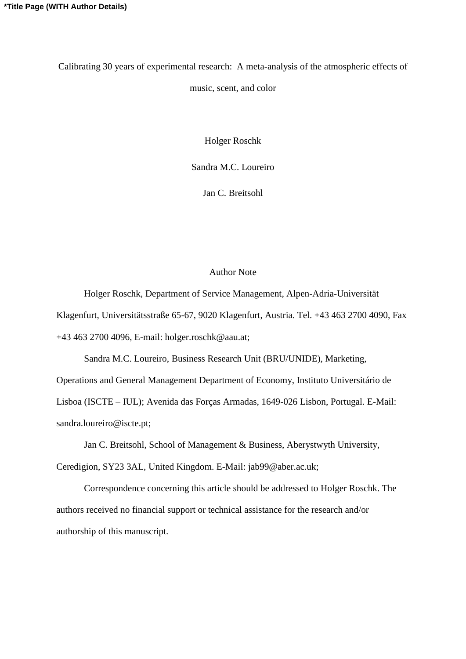Calibrating 30 years of experimental research: A meta-analysis of the atmospheric effects of music, scent, and color

Holger Roschk

Sandra M.C. Loureiro

Jan C. Breitsohl

#### Author Note

 Holger Roschk, Department of Service Management, Alpen-Adria-Universität Klagenfurt, Universitätsstraße 65-67, 9020 Klagenfurt, Austria. Tel. +43 463 2700 4090, Fax +43 463 2700 4096, E-mail: holger.roschk@aau.at;

Sandra M.C. Loureiro, Business Research Unit (BRU/UNIDE), Marketing,

Operations and General Management Department of Economy, Instituto Universitário de Lisboa (ISCTE – IUL); Avenida das Forças Armadas, 1649-026 Lisbon, Portugal. E-Mail: sandra.loureiro@iscte.pt;

 Jan C. Breitsohl, School of Management & Business, Aberystwyth University, Ceredigion, SY23 3AL, United Kingdom. E-Mail: jab99@aber.ac.uk;

 Correspondence concerning this article should be addressed to Holger Roschk. The authors received no financial support or technical assistance for the research and/or authorship of this manuscript.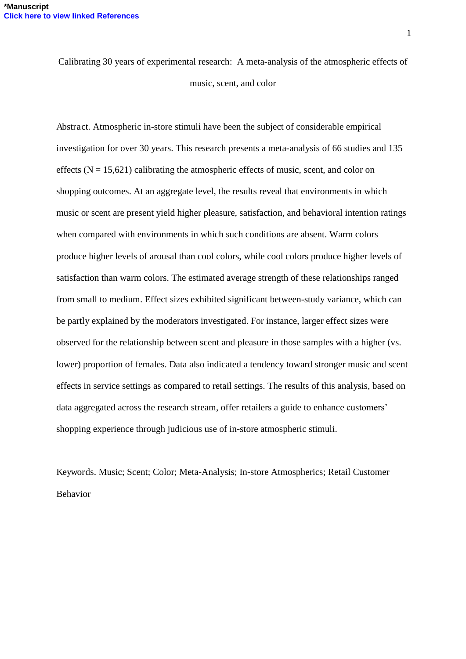Calibrating 30 years of experimental research: A meta-analysis of the atmospheric effects of music, scent, and color

Abstract. Atmospheric in-store stimuli have been the subject of considerable empirical investigation for over 30 years. This research presents a meta-analysis of 66 studies and 135 effects  $(N = 15,621)$  calibrating the atmospheric effects of music, scent, and color on shopping outcomes. At an aggregate level, the results reveal that environments in which music or scent are present yield higher pleasure, satisfaction, and behavioral intention ratings when compared with environments in which such conditions are absent. Warm colors produce higher levels of arousal than cool colors, while cool colors produce higher levels of satisfaction than warm colors. The estimated average strength of these relationships ranged from small to medium. Effect sizes exhibited significant between-study variance, which can be partly explained by the moderators investigated. For instance, larger effect sizes were observed for the relationship between scent and pleasure in those samples with a higher (vs. lower) proportion of females. Data also indicated a tendency toward stronger music and scent effects in service settings as compared to retail settings. The results of this analysis, based on data aggregated across the research stream, offer retailers a guide to enhance customers' shopping experience through judicious use of in-store atmospheric stimuli.

Keywords. Music; Scent; Color; Meta-Analysis; In-store Atmospherics; Retail Customer Behavior

1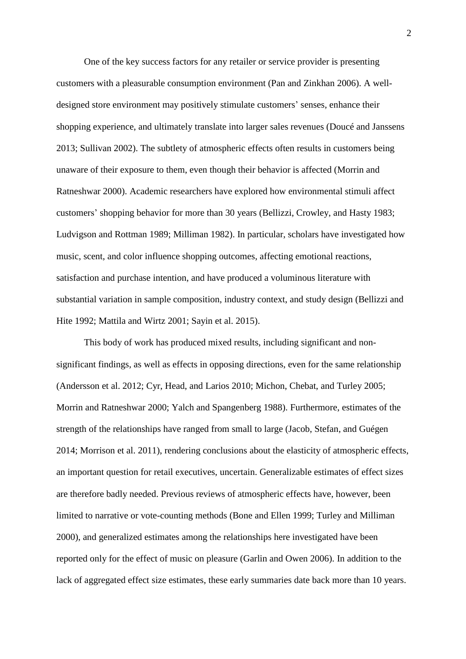One of the key success factors for any retailer or service provider is presenting customers with a pleasurable consumption environment (Pan and Zinkhan 2006). A welldesigned store environment may positively stimulate customers' senses, enhance their shopping experience, and ultimately translate into larger sales revenues (Doucé and Janssens 2013; Sullivan 2002). The subtlety of atmospheric effects often results in customers being unaware of their exposure to them, even though their behavior is affected (Morrin and Ratneshwar 2000). Academic researchers have explored how environmental stimuli affect customers' shopping behavior for more than 30 years (Bellizzi, Crowley, and Hasty 1983; Ludvigson and Rottman 1989; Milliman 1982). In particular, scholars have investigated how music, scent, and color influence shopping outcomes, affecting emotional reactions, satisfaction and purchase intention, and have produced a voluminous literature with substantial variation in sample composition, industry context, and study design (Bellizzi and Hite 1992; Mattila and Wirtz 2001; Sayin et al. 2015).

 This body of work has produced mixed results, including significant and nonsignificant findings, as well as effects in opposing directions, even for the same relationship (Andersson et al. 2012; Cyr, Head, and Larios 2010; Michon, Chebat, and Turley 2005; Morrin and Ratneshwar 2000; Yalch and Spangenberg 1988). Furthermore, estimates of the strength of the relationships have ranged from small to large (Jacob, Stefan, and Guégen 2014; Morrison et al. 2011), rendering conclusions about the elasticity of atmospheric effects, an important question for retail executives, uncertain. Generalizable estimates of effect sizes are therefore badly needed. Previous reviews of atmospheric effects have, however, been limited to narrative or vote-counting methods (Bone and Ellen 1999; Turley and Milliman 2000), and generalized estimates among the relationships here investigated have been reported only for the effect of music on pleasure (Garlin and Owen 2006). In addition to the lack of aggregated effect size estimates, these early summaries date back more than 10 years.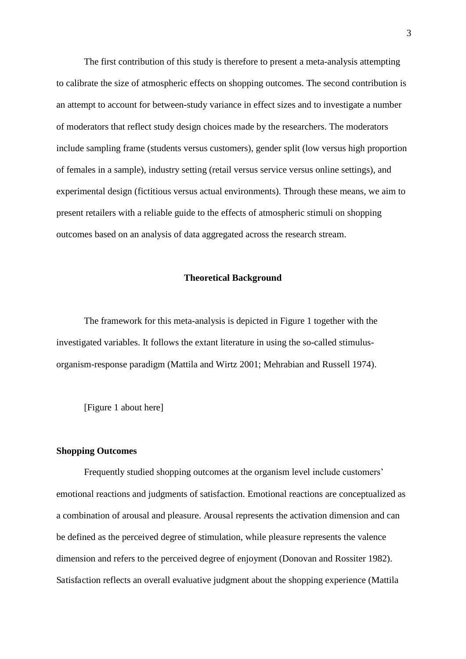The first contribution of this study is therefore to present a meta-analysis attempting to calibrate the size of atmospheric effects on shopping outcomes. The second contribution is an attempt to account for between-study variance in effect sizes and to investigate a number of moderators that reflect study design choices made by the researchers. The moderators include sampling frame (students versus customers), gender split (low versus high proportion of females in a sample), industry setting (retail versus service versus online settings), and experimental design (fictitious versus actual environments). Through these means, we aim to present retailers with a reliable guide to the effects of atmospheric stimuli on shopping outcomes based on an analysis of data aggregated across the research stream.

#### **Theoretical Background**

 The framework for this meta-analysis is depicted in Figure 1 together with the investigated variables. It follows the extant literature in using the so-called stimulusorganism-response paradigm (Mattila and Wirtz 2001; Mehrabian and Russell 1974).

[Figure 1 about here]

#### **Shopping Outcomes**

 Frequently studied shopping outcomes at the organism level include customers' emotional reactions and judgments of satisfaction. Emotional reactions are conceptualized as a combination of arousal and pleasure. Arousal represents the activation dimension and can be defined as the perceived degree of stimulation, while pleasure represents the valence dimension and refers to the perceived degree of enjoyment (Donovan and Rossiter 1982). Satisfaction reflects an overall evaluative judgment about the shopping experience (Mattila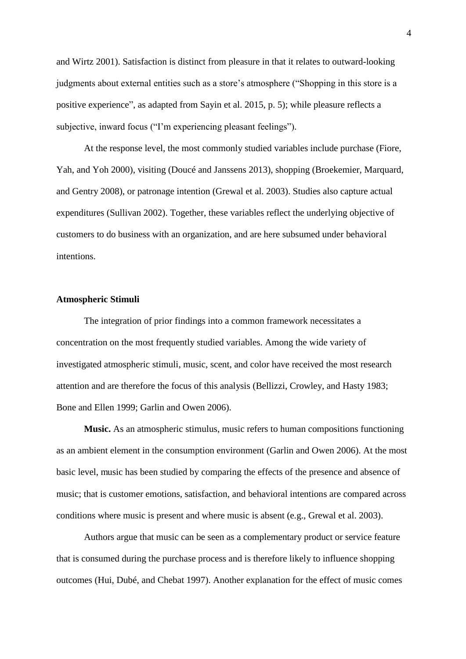and Wirtz 2001). Satisfaction is distinct from pleasure in that it relates to outward-looking judgments about external entities such as a store's atmosphere ("Shopping in this store is a positive experience", as adapted from Sayin et al. 2015, p. 5); while pleasure reflects a subjective, inward focus ("I'm experiencing pleasant feelings").

 At the response level, the most commonly studied variables include purchase (Fiore, Yah, and Yoh 2000), visiting (Doucé and Janssens 2013), shopping (Broekemier, Marquard, and Gentry 2008), or patronage intention (Grewal et al. 2003). Studies also capture actual expenditures (Sullivan 2002). Together, these variables reflect the underlying objective of customers to do business with an organization, and are here subsumed under behavioral intentions.

#### **Atmospheric Stimuli**

 The integration of prior findings into a common framework necessitates a concentration on the most frequently studied variables. Among the wide variety of investigated atmospheric stimuli, music, scent, and color have received the most research attention and are therefore the focus of this analysis (Bellizzi, Crowley, and Hasty 1983; Bone and Ellen 1999; Garlin and Owen 2006).

 **Music.** As an atmospheric stimulus, music refers to human compositions functioning as an ambient element in the consumption environment (Garlin and Owen 2006). At the most basic level, music has been studied by comparing the effects of the presence and absence of music; that is customer emotions, satisfaction, and behavioral intentions are compared across conditions where music is present and where music is absent (e.g., Grewal et al. 2003).

 Authors argue that music can be seen as a complementary product or service feature that is consumed during the purchase process and is therefore likely to influence shopping outcomes (Hui, Dubé, and Chebat 1997). Another explanation for the effect of music comes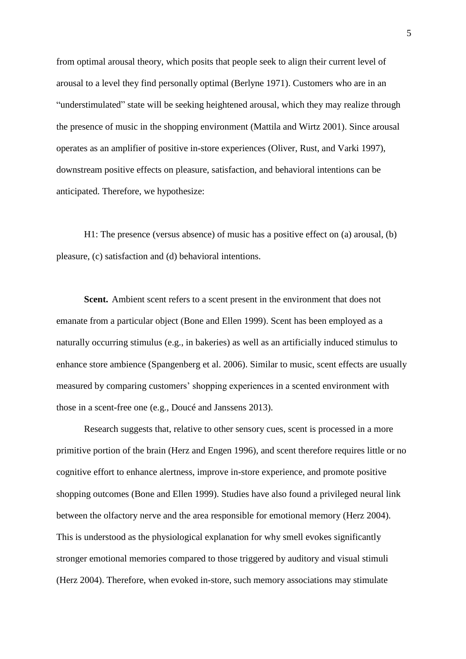from optimal arousal theory, which posits that people seek to align their current level of arousal to a level they find personally optimal (Berlyne 1971). Customers who are in an "understimulated" state will be seeking heightened arousal, which they may realize through the presence of music in the shopping environment (Mattila and Wirtz 2001). Since arousal operates as an amplifier of positive in-store experiences (Oliver, Rust, and Varki 1997), downstream positive effects on pleasure, satisfaction, and behavioral intentions can be anticipated. Therefore, we hypothesize:

 H1: The presence (versus absence) of music has a positive effect on (a) arousal, (b) pleasure, (c) satisfaction and (d) behavioral intentions.

Scent. Ambient scent refers to a scent present in the environment that does not emanate from a particular object (Bone and Ellen 1999). Scent has been employed as a naturally occurring stimulus (e.g., in bakeries) as well as an artificially induced stimulus to enhance store ambience (Spangenberg et al. 2006). Similar to music, scent effects are usually measured by comparing customers' shopping experiences in a scented environment with those in a scent-free one (e.g., Doucé and Janssens 2013).

 Research suggests that, relative to other sensory cues, scent is processed in a more primitive portion of the brain (Herz and Engen 1996), and scent therefore requires little or no cognitive effort to enhance alertness, improve in-store experience, and promote positive shopping outcomes (Bone and Ellen 1999). Studies have also found a privileged neural link between the olfactory nerve and the area responsible for emotional memory (Herz 2004). This is understood as the physiological explanation for why smell evokes significantly stronger emotional memories compared to those triggered by auditory and visual stimuli (Herz 2004). Therefore, when evoked in-store, such memory associations may stimulate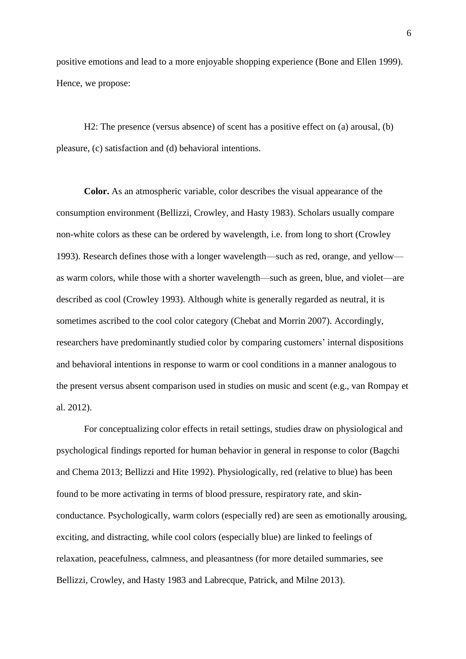positive emotions and lead to a more enjoyable shopping experience (Bone and Ellen 1999). Hence, we propose:

 H2: The presence (versus absence) of scent has a positive effect on (a) arousal, (b) pleasure, (c) satisfaction and (d) behavioral intentions.

 **Color.** As an atmospheric variable, color describes the visual appearance of the consumption environment (Bellizzi, Crowley, and Hasty 1983). Scholars usually compare non-white colors as these can be ordered by wavelength, i.e. from long to short (Crowley 1993). Research defines those with a longer wavelength—such as red, orange, and yellow as warm colors, while those with a shorter wavelength—such as green, blue, and violet—are described as cool (Crowley 1993). Although white is generally regarded as neutral, it is sometimes ascribed to the cool color category (Chebat and Morrin 2007). Accordingly, researchers have predominantly studied color by comparing customers' internal dispositions and behavioral intentions in response to warm or cool conditions in a manner analogous to the present versus absent comparison used in studies on music and scent (e.g., van Rompay et al. 2012).

 For conceptualizing color effects in retail settings, studies draw on physiological and psychological findings reported for human behavior in general in response to color (Bagchi and Chema 2013; Bellizzi and Hite 1992). Physiologically, red (relative to blue) has been found to be more activating in terms of blood pressure, respiratory rate, and skinconductance. Psychologically, warm colors (especially red) are seen as emotionally arousing, exciting, and distracting, while cool colors (especially blue) are linked to feelings of relaxation, peacefulness, calmness, and pleasantness (for more detailed summaries, see Bellizzi, Crowley, and Hasty 1983 and Labrecque, Patrick, and Milne 2013).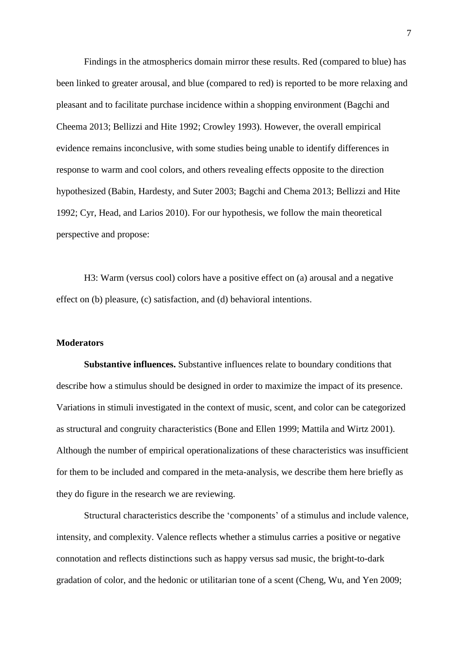Findings in the atmospherics domain mirror these results. Red (compared to blue) has been linked to greater arousal, and blue (compared to red) is reported to be more relaxing and pleasant and to facilitate purchase incidence within a shopping environment (Bagchi and Cheema 2013; Bellizzi and Hite 1992; Crowley 1993). However, the overall empirical evidence remains inconclusive, with some studies being unable to identify differences in response to warm and cool colors, and others revealing effects opposite to the direction hypothesized (Babin, Hardesty, and Suter 2003; Bagchi and Chema 2013; Bellizzi and Hite 1992; Cyr, Head, and Larios 2010). For our hypothesis, we follow the main theoretical perspective and propose:

 H3: Warm (versus cool) colors have a positive effect on (a) arousal and a negative effect on (b) pleasure, (c) satisfaction, and (d) behavioral intentions.

#### **Moderators**

**Substantive influences.** Substantive influences relate to boundary conditions that describe how a stimulus should be designed in order to maximize the impact of its presence. Variations in stimuli investigated in the context of music, scent, and color can be categorized as structural and congruity characteristics (Bone and Ellen 1999; Mattila and Wirtz 2001). Although the number of empirical operationalizations of these characteristics was insufficient for them to be included and compared in the meta-analysis, we describe them here briefly as they do figure in the research we are reviewing.

 Structural characteristics describe the 'components' of a stimulus and include valence, intensity, and complexity. Valence reflects whether a stimulus carries a positive or negative connotation and reflects distinctions such as happy versus sad music, the bright-to-dark gradation of color, and the hedonic or utilitarian tone of a scent (Cheng, Wu, and Yen 2009;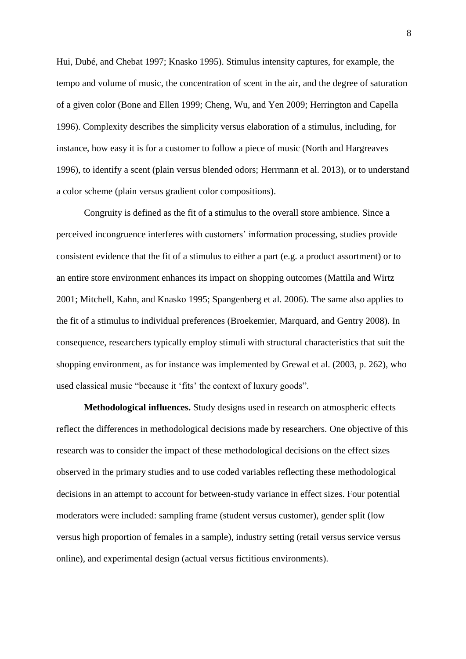Hui, Dubé, and Chebat 1997; Knasko 1995). Stimulus intensity captures, for example, the tempo and volume of music, the concentration of scent in the air, and the degree of saturation of a given color (Bone and Ellen 1999; Cheng, Wu, and Yen 2009; Herrington and Capella 1996). Complexity describes the simplicity versus elaboration of a stimulus, including, for instance, how easy it is for a customer to follow a piece of music (North and Hargreaves 1996), to identify a scent (plain versus blended odors; Herrmann et al. 2013), or to understand a color scheme (plain versus gradient color compositions).

 Congruity is defined as the fit of a stimulus to the overall store ambience. Since a perceived incongruence interferes with customers' information processing, studies provide consistent evidence that the fit of a stimulus to either a part (e.g. a product assortment) or to an entire store environment enhances its impact on shopping outcomes (Mattila and Wirtz 2001; Mitchell, Kahn, and Knasko 1995; Spangenberg et al. 2006). The same also applies to the fit of a stimulus to individual preferences (Broekemier, Marquard, and Gentry 2008). In consequence, researchers typically employ stimuli with structural characteristics that suit the shopping environment, as for instance was implemented by Grewal et al. (2003, p. 262), who used classical music "because it 'fits' the context of luxury goods".

**Methodological influences.** Study designs used in research on atmospheric effects reflect the differences in methodological decisions made by researchers. One objective of this research was to consider the impact of these methodological decisions on the effect sizes observed in the primary studies and to use coded variables reflecting these methodological decisions in an attempt to account for between-study variance in effect sizes. Four potential moderators were included: sampling frame (student versus customer), gender split (low versus high proportion of females in a sample), industry setting (retail versus service versus online), and experimental design (actual versus fictitious environments).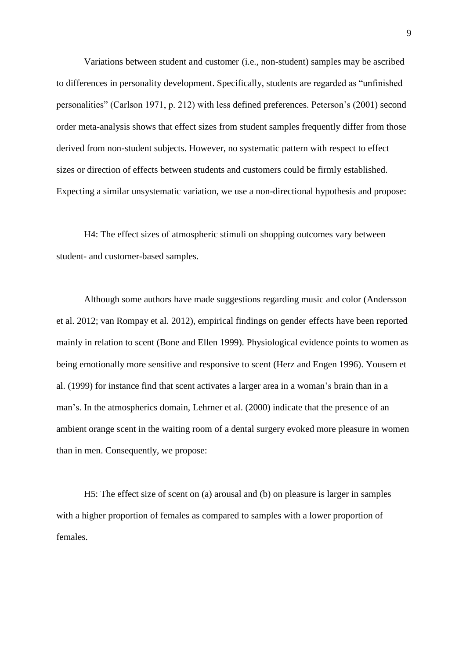Variations between student and customer (i.e., non-student) samples may be ascribed to differences in personality development. Specifically, students are regarded as "unfinished personalities" (Carlson 1971, p. 212) with less defined preferences. Peterson's (2001) second order meta-analysis shows that effect sizes from student samples frequently differ from those derived from non-student subjects. However, no systematic pattern with respect to effect sizes or direction of effects between students and customers could be firmly established. Expecting a similar unsystematic variation, we use a non-directional hypothesis and propose:

 H4: The effect sizes of atmospheric stimuli on shopping outcomes vary between student- and customer-based samples.

Although some authors have made suggestions regarding music and color (Andersson et al. 2012; van Rompay et al. 2012), empirical findings on gender effects have been reported mainly in relation to scent (Bone and Ellen 1999). Physiological evidence points to women as being emotionally more sensitive and responsive to scent (Herz and Engen 1996). Yousem et al. (1999) for instance find that scent activates a larger area in a woman's brain than in a man's. In the atmospherics domain, Lehrner et al. (2000) indicate that the presence of an ambient orange scent in the waiting room of a dental surgery evoked more pleasure in women than in men. Consequently, we propose:

H5: The effect size of scent on (a) arousal and (b) on pleasure is larger in samples with a higher proportion of females as compared to samples with a lower proportion of females.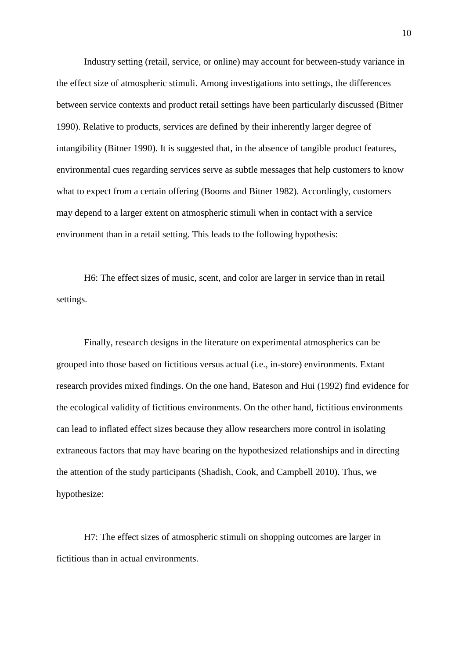Industry setting (retail, service, or online) may account for between-study variance in the effect size of atmospheric stimuli. Among investigations into settings, the differences between service contexts and product retail settings have been particularly discussed (Bitner 1990). Relative to products, services are defined by their inherently larger degree of intangibility (Bitner 1990). It is suggested that, in the absence of tangible product features, environmental cues regarding services serve as subtle messages that help customers to know what to expect from a certain offering (Booms and Bitner 1982). Accordingly, customers may depend to a larger extent on atmospheric stimuli when in contact with a service environment than in a retail setting. This leads to the following hypothesis:

 H6: The effect sizes of music, scent, and color are larger in service than in retail settings.

Finally, research designs in the literature on experimental atmospherics can be grouped into those based on fictitious versus actual (i.e., in-store) environments. Extant research provides mixed findings. On the one hand, Bateson and Hui (1992) find evidence for the ecological validity of fictitious environments. On the other hand, fictitious environments can lead to inflated effect sizes because they allow researchers more control in isolating extraneous factors that may have bearing on the hypothesized relationships and in directing the attention of the study participants (Shadish, Cook, and Campbell 2010). Thus, we hypothesize:

H7: The effect sizes of atmospheric stimuli on shopping outcomes are larger in fictitious than in actual environments.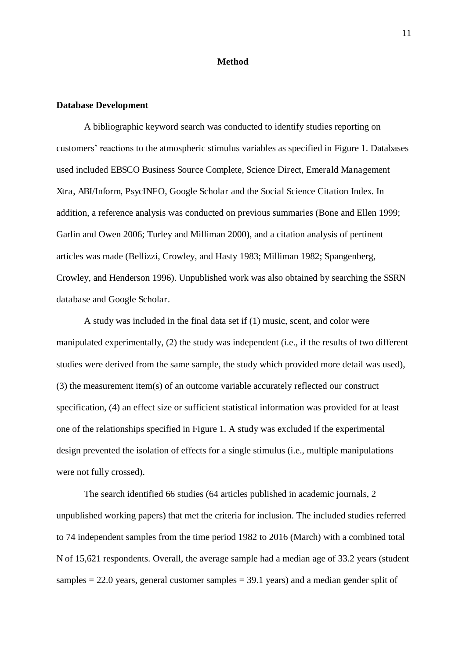#### **Method**

#### **Database Development**

 A bibliographic keyword search was conducted to identify studies reporting on customers' reactions to the atmospheric stimulus variables as specified in Figure 1. Databases used included EBSCO Business Source Complete, Science Direct, Emerald Management Xtra, ABI/Inform, PsycINFO, Google Scholar and the Social Science Citation Index. In addition, a reference analysis was conducted on previous summaries (Bone and Ellen 1999; Garlin and Owen 2006; Turley and Milliman 2000), and a citation analysis of pertinent articles was made (Bellizzi, Crowley, and Hasty 1983; Milliman 1982; Spangenberg, Crowley, and Henderson 1996). Unpublished work was also obtained by searching the SSRN database and Google Scholar.

 A study was included in the final data set if (1) music, scent, and color were manipulated experimentally, (2) the study was independent (i.e., if the results of two different studies were derived from the same sample, the study which provided more detail was used), (3) the measurement item(s) of an outcome variable accurately reflected our construct specification, (4) an effect size or sufficient statistical information was provided for at least one of the relationships specified in Figure 1. A study was excluded if the experimental design prevented the isolation of effects for a single stimulus (i.e., multiple manipulations were not fully crossed).

The search identified 66 studies (64 articles published in academic journals, 2 unpublished working papers) that met the criteria for inclusion. The included studies referred to 74 independent samples from the time period 1982 to 2016 (March) with a combined total N of 15,621 respondents. Overall, the average sample had a median age of 33.2 years (student samples  $= 22.0$  years, general customer samples  $= 39.1$  years) and a median gender split of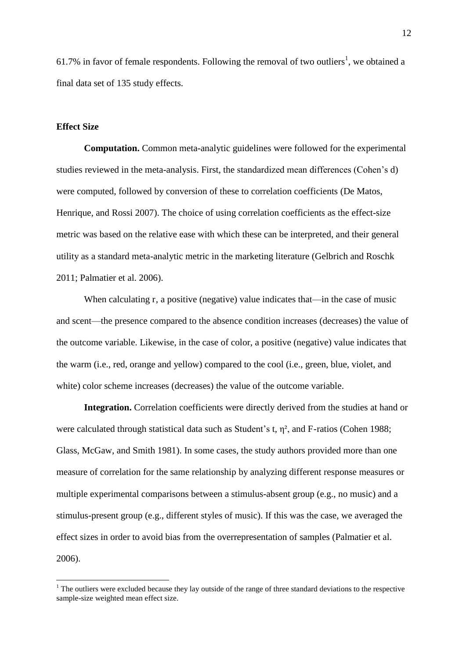61.7% in favor of female respondents. Following the removal of two outliers<sup>1</sup>, we obtained a final data set of 135 study effects.

#### **Effect Size**

<u>.</u>

**Computation.** Common meta-analytic guidelines were followed for the experimental studies reviewed in the meta-analysis. First, the standardized mean differences (Cohen's d) were computed, followed by conversion of these to correlation coefficients (De Matos, Henrique, and Rossi 2007). The choice of using correlation coefficients as the effect-size metric was based on the relative ease with which these can be interpreted, and their general utility as a standard meta-analytic metric in the marketing literature (Gelbrich and Roschk 2011; Palmatier et al. 2006).

When calculating r, a positive (negative) value indicates that—in the case of music and scent—the presence compared to the absence condition increases (decreases) the value of the outcome variable. Likewise, in the case of color, a positive (negative) value indicates that the warm (i.e., red, orange and yellow) compared to the cool (i.e., green, blue, violet, and white) color scheme increases (decreases) the value of the outcome variable.

**Integration.** Correlation coefficients were directly derived from the studies at hand or were calculated through statistical data such as Student's t,  $\eta^2$ , and F-ratios (Cohen 1988; Glass, McGaw, and Smith 1981). In some cases, the study authors provided more than one measure of correlation for the same relationship by analyzing different response measures or multiple experimental comparisons between a stimulus-absent group (e.g., no music) and a stimulus-present group (e.g., different styles of music). If this was the case, we averaged the effect sizes in order to avoid bias from the overrepresentation of samples (Palmatier et al. 2006).

 $<sup>1</sup>$  The outliers were excluded because they lay outside of the range of three standard deviations to the respective</sup> sample-size weighted mean effect size.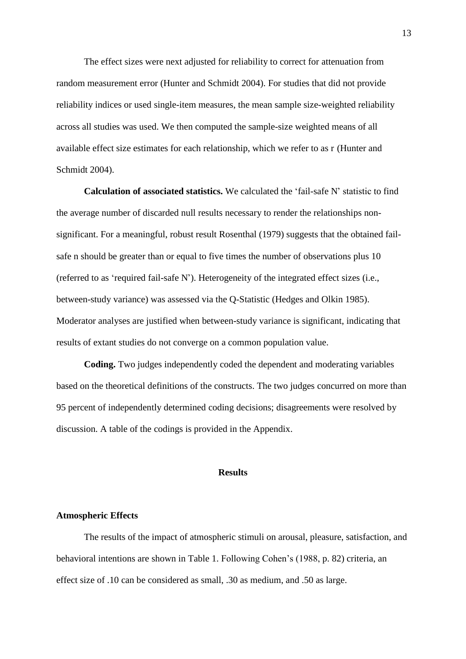The effect sizes were next adjusted for reliability to correct for attenuation from random measurement error (Hunter and Schmidt 2004). For studies that did not provide reliability indices or used single-item measures, the mean sample size-weighted reliability across all studies was used. We then computed the sample-size weighted means of all available effect size estimates for each relationship, which we refer to as r (Hunter and Schmidt 2004).

**Calculation of associated statistics.** We calculated the 'fail-safe N' statistic to find the average number of discarded null results necessary to render the relationships nonsignificant. For a meaningful, robust result Rosenthal (1979) suggests that the obtained failsafe n should be greater than or equal to five times the number of observations plus 10 (referred to as 'required fail-safe N'). Heterogeneity of the integrated effect sizes (i.e., between-study variance) was assessed via the Q-Statistic (Hedges and Olkin 1985). Moderator analyses are justified when between-study variance is significant, indicating that results of extant studies do not converge on a common population value.

**Coding.** Two judges independently coded the dependent and moderating variables based on the theoretical definitions of the constructs. The two judges concurred on more than 95 percent of independently determined coding decisions; disagreements were resolved by discussion. A table of the codings is provided in the Appendix.

#### **Results**

#### **Atmospheric Effects**

 The results of the impact of atmospheric stimuli on arousal, pleasure, satisfaction, and behavioral intentions are shown in Table 1. Following Cohen's (1988, p. 82) criteria, an effect size of .10 can be considered as small, .30 as medium, and .50 as large.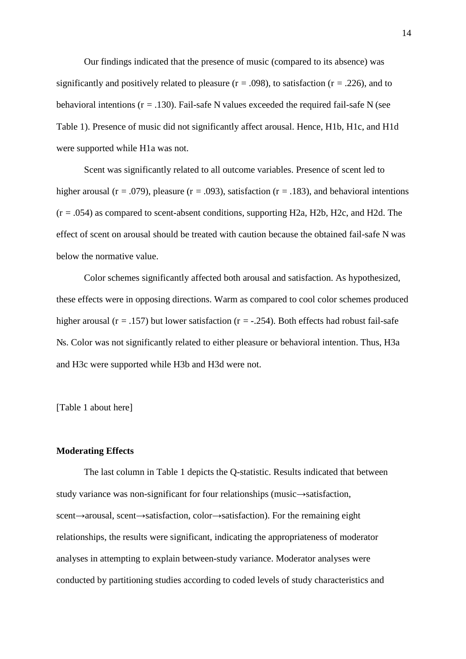Our findings indicated that the presence of music (compared to its absence) was significantly and positively related to pleasure ( $r = .098$ ), to satisfaction ( $r = .226$ ), and to behavioral intentions ( $r = .130$ ). Fail-safe N values exceeded the required fail-safe N (see Table 1). Presence of music did not significantly affect arousal. Hence, H1b, H1c, and H1d were supported while H1a was not.

 Scent was significantly related to all outcome variables. Presence of scent led to higher arousal ( $r = .079$ ), pleasure ( $r = .093$ ), satisfaction ( $r = .183$ ), and behavioral intentions  $(r = .054)$  as compared to scent-absent conditions, supporting H2a, H2b, H2c, and H2d. The effect of scent on arousal should be treated with caution because the obtained fail-safe N was below the normative value.

 Color schemes significantly affected both arousal and satisfaction. As hypothesized, these effects were in opposing directions. Warm as compared to cool color schemes produced higher arousal ( $r = .157$ ) but lower satisfaction ( $r = .254$ ). Both effects had robust fail-safe Ns. Color was not significantly related to either pleasure or behavioral intention. Thus, H3a and H3c were supported while H3b and H3d were not.

[Table 1 about here]

#### **Moderating Effects**

 The last column in Table 1 depicts the Q-statistic. Results indicated that between study variance was non-significant for four relationships (music $\rightarrow$ satisfaction, scent $\rightarrow$ arousal, scent $\rightarrow$ satisfaction, color $\rightarrow$ satisfaction). For the remaining eight relationships, the results were significant, indicating the appropriateness of moderator analyses in attempting to explain between-study variance. Moderator analyses were conducted by partitioning studies according to coded levels of study characteristics and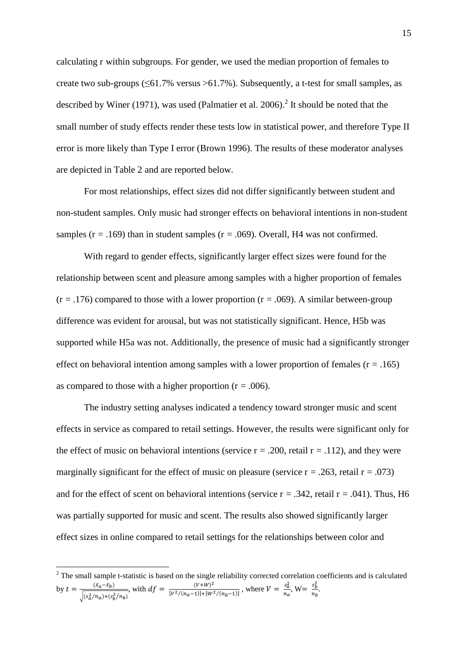calculating r within subgroups. For gender, we used the median proportion of females to create two sub-groups (≤61.7% versus >61.7%). Subsequently, a t-test for small samples, as described by Winer (1971), was used (Palmatier et al. 2006).<sup>2</sup> It should be noted that the small number of study effects render these tests low in statistical power, and therefore Type II error is more likely than Type I error (Brown 1996). The results of these moderator analyses are depicted in Table 2 and are reported below.

 For most relationships, effect sizes did not differ significantly between student and non-student samples. Only music had stronger effects on behavioral intentions in non-student samples ( $r = .169$ ) than in student samples ( $r = .069$ ). Overall, H4 was not confirmed.

 With regard to gender effects, significantly larger effect sizes were found for the relationship between scent and pleasure among samples with a higher proportion of females  $(r = .176)$  compared to those with a lower proportion  $(r = .069)$ . A similar between-group difference was evident for arousal, but was not statistically significant. Hence, H5b was supported while H5a was not. Additionally, the presence of music had a significantly stronger effect on behavioral intention among samples with a lower proportion of females ( $r = .165$ ) as compared to those with a higher proportion ( $r = .006$ ).

 The industry setting analyses indicated a tendency toward stronger music and scent effects in service as compared to retail settings. However, the results were significant only for the effect of music on behavioral intentions (service  $r = .200$ , retail  $r = .112$ ), and they were marginally significant for the effect of music on pleasure (service  $r = .263$ , retail  $r = .073$ ) and for the effect of scent on behavioral intentions (service  $r = .342$ , retail  $r = .041$ ). Thus, H6 was partially supported for music and scent. The results also showed significantly larger effect sizes in online compared to retail settings for the relationships between color and

<sup>&</sup>lt;sup>2</sup> The small sample t-statistic is based on the single reliability corrected correlation coefficients and is calculated by  $t = \frac{(\bar{x}_a - \bar{x}_b)}{\sqrt{(\bar{x}_a - \bar{x}_b)^2}}$  $\sqrt{(s_a^2/n_a)+(s_b^2/n_b)}$ , with  $df = \frac{(V+W)^2}{[V^2/(n_{\alpha}-1)]+[W]}$  $\frac{(V+W)^2}{[V^2/(n_a-1)]+[W^2/(n_b-1)]}$ , where  $V = \frac{s_a^2}{n_a}$  $\frac{s_a^2}{n_a}$ , W=  $\frac{s_b^2}{n_b}$  $\frac{b}{n_b}$ .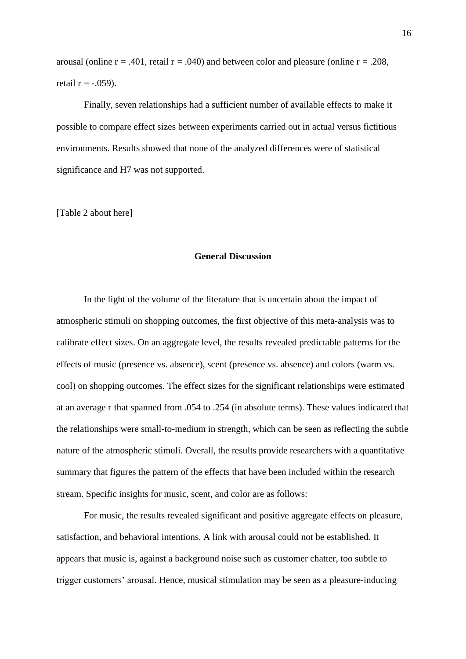arousal (online  $r = .401$ , retail  $r = .040$ ) and between color and pleasure (online  $r = .208$ , retail  $r = -0.059$ ).

 Finally, seven relationships had a sufficient number of available effects to make it possible to compare effect sizes between experiments carried out in actual versus fictitious environments. Results showed that none of the analyzed differences were of statistical significance and H7 was not supported.

[Table 2 about here]

#### **General Discussion**

 In the light of the volume of the literature that is uncertain about the impact of atmospheric stimuli on shopping outcomes, the first objective of this meta-analysis was to calibrate effect sizes. On an aggregate level, the results revealed predictable patterns for the effects of music (presence vs. absence), scent (presence vs. absence) and colors (warm vs. cool) on shopping outcomes. The effect sizes for the significant relationships were estimated at an average r that spanned from .054 to .254 (in absolute terms). These values indicated that the relationships were small-to-medium in strength, which can be seen as reflecting the subtle nature of the atmospheric stimuli. Overall, the results provide researchers with a quantitative summary that figures the pattern of the effects that have been included within the research stream. Specific insights for music, scent, and color are as follows:

 For music, the results revealed significant and positive aggregate effects on pleasure, satisfaction, and behavioral intentions. A link with arousal could not be established. It appears that music is, against a background noise such as customer chatter, too subtle to trigger customers' arousal. Hence, musical stimulation may be seen as a pleasure-inducing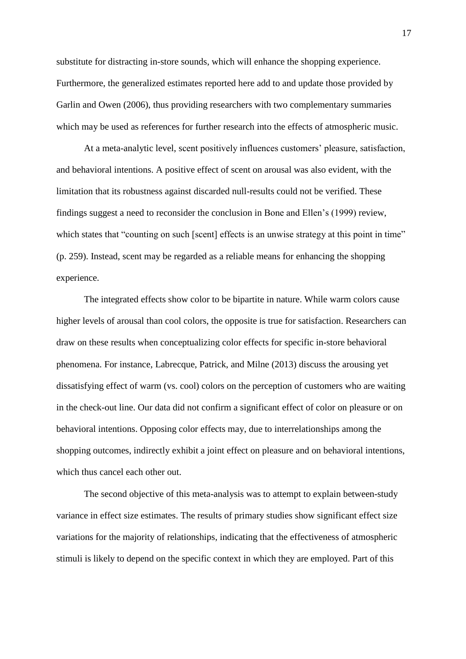substitute for distracting in-store sounds, which will enhance the shopping experience. Furthermore, the generalized estimates reported here add to and update those provided by Garlin and Owen (2006), thus providing researchers with two complementary summaries which may be used as references for further research into the effects of atmospheric music.

 At a meta-analytic level, scent positively influences customers' pleasure, satisfaction, and behavioral intentions. A positive effect of scent on arousal was also evident, with the limitation that its robustness against discarded null-results could not be verified. These findings suggest a need to reconsider the conclusion in Bone and Ellen's (1999) review, which states that "counting on such [scent] effects is an unwise strategy at this point in time" (p. 259). Instead, scent may be regarded as a reliable means for enhancing the shopping experience.

 The integrated effects show color to be bipartite in nature. While warm colors cause higher levels of arousal than cool colors, the opposite is true for satisfaction. Researchers can draw on these results when conceptualizing color effects for specific in-store behavioral phenomena. For instance, Labrecque, Patrick, and Milne (2013) discuss the arousing yet dissatisfying effect of warm (vs. cool) colors on the perception of customers who are waiting in the check-out line. Our data did not confirm a significant effect of color on pleasure or on behavioral intentions. Opposing color effects may, due to interrelationships among the shopping outcomes, indirectly exhibit a joint effect on pleasure and on behavioral intentions, which thus cancel each other out.

 The second objective of this meta-analysis was to attempt to explain between-study variance in effect size estimates. The results of primary studies show significant effect size variations for the majority of relationships, indicating that the effectiveness of atmospheric stimuli is likely to depend on the specific context in which they are employed. Part of this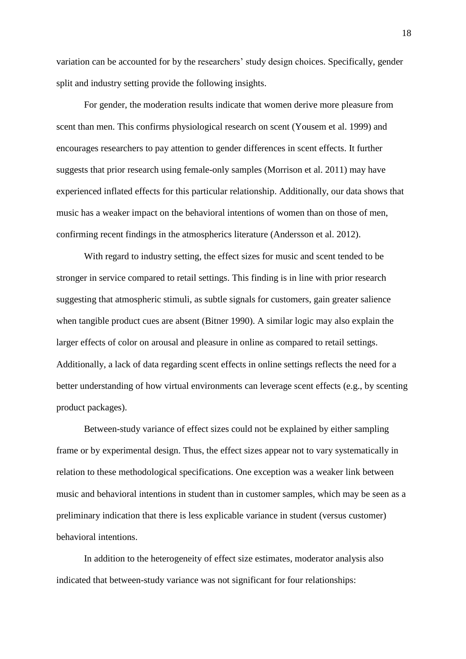variation can be accounted for by the researchers' study design choices. Specifically, gender split and industry setting provide the following insights.

 For gender, the moderation results indicate that women derive more pleasure from scent than men. This confirms physiological research on scent (Yousem et al. 1999) and encourages researchers to pay attention to gender differences in scent effects. It further suggests that prior research using female-only samples (Morrison et al. 2011) may have experienced inflated effects for this particular relationship. Additionally, our data shows that music has a weaker impact on the behavioral intentions of women than on those of men, confirming recent findings in the atmospherics literature (Andersson et al. 2012).

 With regard to industry setting, the effect sizes for music and scent tended to be stronger in service compared to retail settings. This finding is in line with prior research suggesting that atmospheric stimuli, as subtle signals for customers, gain greater salience when tangible product cues are absent (Bitner 1990). A similar logic may also explain the larger effects of color on arousal and pleasure in online as compared to retail settings. Additionally, a lack of data regarding scent effects in online settings reflects the need for a better understanding of how virtual environments can leverage scent effects (e.g., by scenting product packages).

 Between-study variance of effect sizes could not be explained by either sampling frame or by experimental design. Thus, the effect sizes appear not to vary systematically in relation to these methodological specifications. One exception was a weaker link between music and behavioral intentions in student than in customer samples, which may be seen as a preliminary indication that there is less explicable variance in student (versus customer) behavioral intentions.

 In addition to the heterogeneity of effect size estimates, moderator analysis also indicated that between-study variance was not significant for four relationships: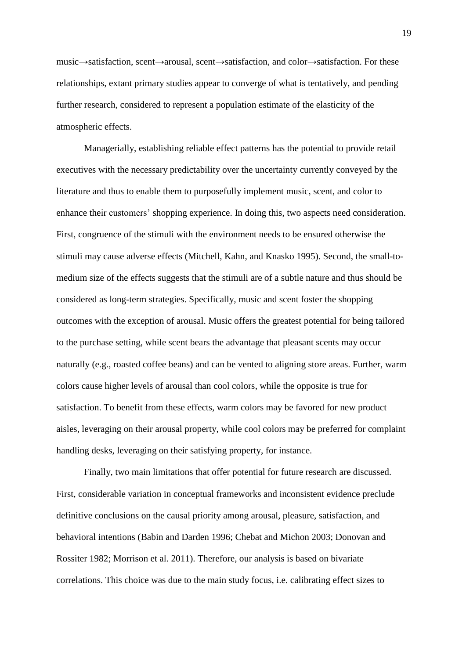music $\rightarrow$ satisfaction, scent $\rightarrow$ arousal, scent $\rightarrow$ satisfaction, and color $\rightarrow$ satisfaction. For these relationships, extant primary studies appear to converge of what is tentatively, and pending further research, considered to represent a population estimate of the elasticity of the atmospheric effects.

 Managerially, establishing reliable effect patterns has the potential to provide retail executives with the necessary predictability over the uncertainty currently conveyed by the literature and thus to enable them to purposefully implement music, scent, and color to enhance their customers' shopping experience. In doing this, two aspects need consideration. First, congruence of the stimuli with the environment needs to be ensured otherwise the stimuli may cause adverse effects (Mitchell, Kahn, and Knasko 1995). Second, the small-tomedium size of the effects suggests that the stimuli are of a subtle nature and thus should be considered as long-term strategies. Specifically, music and scent foster the shopping outcomes with the exception of arousal. Music offers the greatest potential for being tailored to the purchase setting, while scent bears the advantage that pleasant scents may occur naturally (e.g., roasted coffee beans) and can be vented to aligning store areas. Further, warm colors cause higher levels of arousal than cool colors, while the opposite is true for satisfaction. To benefit from these effects, warm colors may be favored for new product aisles, leveraging on their arousal property, while cool colors may be preferred for complaint handling desks, leveraging on their satisfying property, for instance.

 Finally, two main limitations that offer potential for future research are discussed. First, considerable variation in conceptual frameworks and inconsistent evidence preclude definitive conclusions on the causal priority among arousal, pleasure, satisfaction, and behavioral intentions (Babin and Darden 1996; Chebat and Michon 2003; Donovan and Rossiter 1982; Morrison et al. 2011). Therefore, our analysis is based on bivariate correlations. This choice was due to the main study focus, i.e. calibrating effect sizes to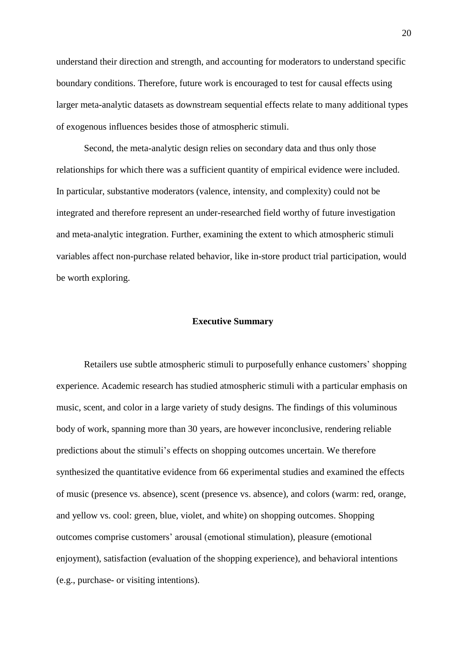understand their direction and strength, and accounting for moderators to understand specific boundary conditions. Therefore, future work is encouraged to test for causal effects using larger meta-analytic datasets as downstream sequential effects relate to many additional types of exogenous influences besides those of atmospheric stimuli.

 Second, the meta-analytic design relies on secondary data and thus only those relationships for which there was a sufficient quantity of empirical evidence were included. In particular, substantive moderators (valence, intensity, and complexity) could not be integrated and therefore represent an under-researched field worthy of future investigation and meta-analytic integration. Further, examining the extent to which atmospheric stimuli variables affect non-purchase related behavior, like in-store product trial participation, would be worth exploring.

#### **Executive Summary**

 Retailers use subtle atmospheric stimuli to purposefully enhance customers' shopping experience. Academic research has studied atmospheric stimuli with a particular emphasis on music, scent, and color in a large variety of study designs. The findings of this voluminous body of work, spanning more than 30 years, are however inconclusive, rendering reliable predictions about the stimuli's effects on shopping outcomes uncertain. We therefore synthesized the quantitative evidence from 66 experimental studies and examined the effects of music (presence vs. absence), scent (presence vs. absence), and colors (warm: red, orange, and yellow vs. cool: green, blue, violet, and white) on shopping outcomes. Shopping outcomes comprise customers' arousal (emotional stimulation), pleasure (emotional enjoyment), satisfaction (evaluation of the shopping experience), and behavioral intentions (e.g., purchase- or visiting intentions).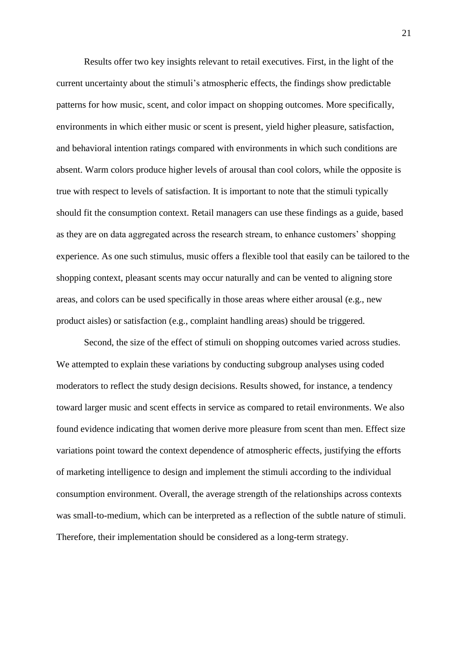Results offer two key insights relevant to retail executives. First, in the light of the current uncertainty about the stimuli's atmospheric effects, the findings show predictable patterns for how music, scent, and color impact on shopping outcomes. More specifically, environments in which either music or scent is present, yield higher pleasure, satisfaction, and behavioral intention ratings compared with environments in which such conditions are absent. Warm colors produce higher levels of arousal than cool colors, while the opposite is true with respect to levels of satisfaction. It is important to note that the stimuli typically should fit the consumption context. Retail managers can use these findings as a guide, based as they are on data aggregated across the research stream, to enhance customers' shopping experience. As one such stimulus, music offers a flexible tool that easily can be tailored to the shopping context, pleasant scents may occur naturally and can be vented to aligning store areas, and colors can be used specifically in those areas where either arousal (e.g., new product aisles) or satisfaction (e.g., complaint handling areas) should be triggered.

 Second, the size of the effect of stimuli on shopping outcomes varied across studies. We attempted to explain these variations by conducting subgroup analyses using coded moderators to reflect the study design decisions. Results showed, for instance, a tendency toward larger music and scent effects in service as compared to retail environments. We also found evidence indicating that women derive more pleasure from scent than men. Effect size variations point toward the context dependence of atmospheric effects, justifying the efforts of marketing intelligence to design and implement the stimuli according to the individual consumption environment. Overall, the average strength of the relationships across contexts was small-to-medium, which can be interpreted as a reflection of the subtle nature of stimuli. Therefore, their implementation should be considered as a long-term strategy.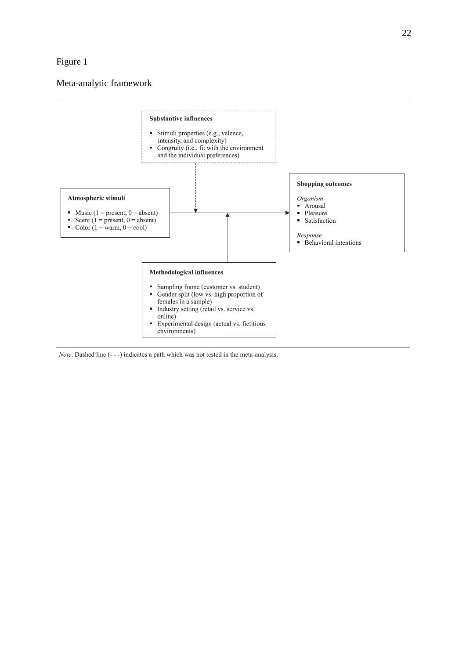#### Figure 1

#### Meta-analytic framework



Note. Dashed line (---) indicates a path which was not tested in the meta-analysis.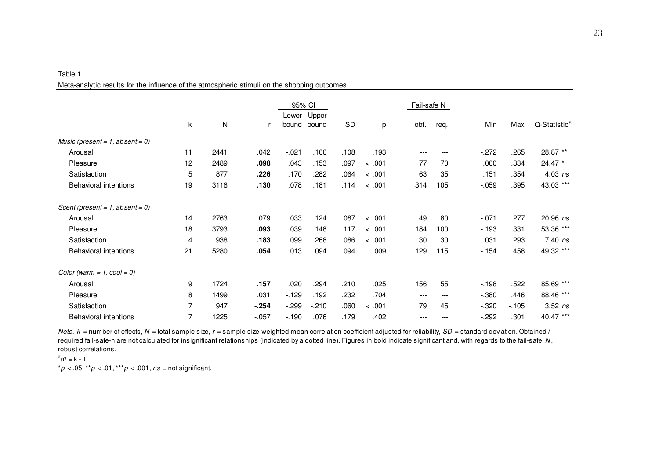|                                    |    |           |          | 95% CI  |         |      |        | Fail-safe N |      |         |        |                          |
|------------------------------------|----|-----------|----------|---------|---------|------|--------|-------------|------|---------|--------|--------------------------|
|                                    |    |           |          | Lower   | Upper   |      |        |             |      |         |        |                          |
|                                    | k  | ${\sf N}$ |          | bound   | bound   | SD   | p      | obt.        | req. | Min     | Max    | Q-Statistic <sup>a</sup> |
| Music (present = $1$ , absent = 0) |    |           |          |         |         |      |        |             |      |         |        |                          |
| Arousal                            | 11 | 2441      | .042     | $-.021$ | .106    | .108 | .193   |             | ---  | $-.272$ | .265   | 28.87 **                 |
| Pleasure                           | 12 | 2489      | .098     | .043    | .153    | .097 | < .001 | 77          | 70   | .000    | .334   | 24.47 *                  |
| Satisfaction                       | 5  | 877       | .226     | .170    | .282    | .064 | < .001 | 63          | 35   | .151    | .354   | $4.03$ ns                |
| <b>Behavioral intentions</b>       | 19 | 3116      | .130     | .078    | .181    | .114 | < .001 | 314         | 105  | $-.059$ | .395   | 43.03 ***                |
| Scent (present = $1$ , absent = 0) |    |           |          |         |         |      |        |             |      |         |        |                          |
| Arousal                            | 14 | 2763      | .079     | .033    | .124    | .087 | < .001 | 49          | 80   | $-.071$ | .277   | $20.96$ ns               |
| Pleasure                           | 18 | 3793      | .093     | .039    | .148    | .117 | < .001 | 184         | 100  | $-193$  | .331   | 53.36 ***                |
| Satisfaction                       | 4  | 938       | .183     | .099    | .268    | .086 | < .001 | 30          | 30   | .031    | .293   | $7.40$ ns                |
| <b>Behavioral intentions</b>       | 21 | 5280      | .054     | .013    | .094    | .094 | .009   | 129         | 115  | $-154$  | .458   | 49.32 ***                |
| Color (warm = $1$ , cool = 0)      |    |           |          |         |         |      |        |             |      |         |        |                          |
| Arousal                            | 9  | 1724      | .157     | .020    | .294    | .210 | .025   | 156         | 55   | $-198$  | .522   | 85.69 ***                |
| Pleasure                           | 8  | 1499      | .031     | $-129$  | .192    | .232 | .704   | ---         | ---  | $-.380$ | .446   | 88.46 ***                |
| Satisfaction                       | 7  | 947       | $-.254$  | $-299$  | $-.210$ | .060 | < .001 | 79          | 45   | $-.320$ | $-105$ | $3.52$ ns                |
| <b>Behavioral intentions</b>       | 7  | 1225      | $-0.057$ | $-190$  | .076    | .179 | .402   |             | ---  | $-292$  | .301   | 40.47 ***                |

Table 1 Meta-analytic results for the influence of the atmospheric stimuli on the shopping outcomes.

*Note.*  $k =$  number of effects,  $N =$  total sample size,  $r =$  sample size-weighted mean correlation coefficient adjusted for reliability,  $SD =$  standard deviation. Obtained / required fail-safe-n are not calculated for insignificant relationships (indicated by a dotted line). Figures in bold indicate significant and, with regards to the fail-safe *N* , robust correlations.

a *df* = k - 1

 $*p$  < .05,  $*p$  < .01,  $**p$  < .001, *ns* = not significant.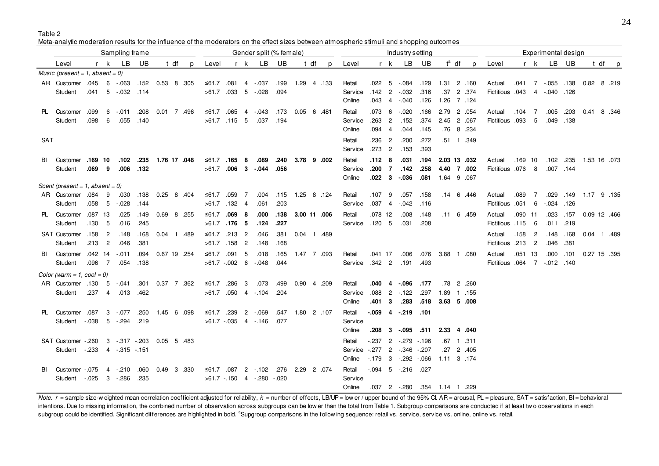Table 2

Meta-analytic moderation results for the influence of the moderators on the effect sizes between atmospheric stimuli and shopping outcomes

|            |                                         |            |                | Sampling frame            |              |                     |      |   |                           |                   |                | Gender split (% female)          |           |                           |      |   | Industry setting  |                |                |                           |        |                     |          | Experimental design |                              |           |                          |                   |      |                           |       |  |
|------------|-----------------------------------------|------------|----------------|---------------------------|--------------|---------------------|------|---|---------------------------|-------------------|----------------|----------------------------------|-----------|---------------------------|------|---|-------------------|----------------|----------------|---------------------------|--------|---------------------|----------|---------------------|------------------------------|-----------|--------------------------|-------------------|------|---------------------------|-------|--|
|            | Level                                   |            | r k            | LB                        | UB           |                     | t df | p | Level                     |                   | r k            | LB                               | UB        |                           | t df | p | Level             |                | r k            | LB                        | UB     |                     | $t^a$ df | p                   | Level                        |           | r k                      | <b>LB</b>         | UB   |                           | t dfp |  |
|            | Music (present = 1, absent = 0)         |            |                |                           |              |                     |      |   |                           |                   |                |                                  |           |                           |      |   |                   |                |                |                           |        |                     |          |                     |                              |           |                          |                   |      |                           |       |  |
|            | AR Customer .045 6 -.063                |            |                |                           |              | .152  0.53  8  .305 |      |   | ≤61.7 .081 4 -.037        |                   |                |                                  | .199      | 1.29 4 .133               |      |   | Retail            |                |                | $.022 \quad 5 \quad .084$ | .129   | 1.31 2 .160         |          |                     | Actual                       |           |                          | .041 7 -.055 .138 |      | $0.82 \quad 8 \quad .219$ |       |  |
|            | Student                                 |            |                | $.041 \quad 5 \quad .032$ | .114         |                     |      |   | $>61.7$ .033 5 $-028$     |                   |                |                                  | .094      |                           |      |   | Service           | .142           | $\overline{2}$ | $-0.032$                  | .316   |                     |          | .37 2 .374          | <b>Fictitious</b> 043        |           |                          | 4 - 040 126       |      |                           |       |  |
|            |                                         |            |                |                           |              |                     |      |   |                           |                   |                |                                  |           |                           |      |   | Online            | .043           | $\overline{4}$ | $-0.040$                  | .126   | 1.26 7 .124         |          |                     |                              |           |                          |                   |      |                           |       |  |
|            | PL Customer                             | .099       |                | $6 - 011$                 | .208         | 0.01 7 .496         |      |   | ≤61.7 .065 4 $-043$       |                   |                |                                  | .173      | $0.05 \quad 6 \quad .481$ |      |   | Retail            | .073           | 6              | $-0.020$                  | .166   | 2.79 2 .054         |          |                     | Actual                       | .104      | $\overline{7}$           | .005              | .203 | 0.41 8 .346               |       |  |
|            | Student                                 | .098       | 6              | .055                      | .140         |                     |      |   | $>61.7$ .115 5            |                   |                |                                  | .037 .194 |                           |      |   | Service           | .263           | $\overline{2}$ | .152                      | .374   | 2.45 2 .067         |          |                     | Fictitious .093              |           | 5                        | .049 .138         |      |                           |       |  |
|            |                                         |            |                |                           |              |                     |      |   |                           |                   |                |                                  |           |                           |      |   | Online            | .094           | $\overline{4}$ | .044                      | .145   |                     |          | .76 8 .234          |                              |           |                          |                   |      |                           |       |  |
| <b>SAT</b> |                                         |            |                |                           |              |                     |      |   |                           |                   |                |                                  |           |                           |      |   | Retail            | .236           | $\overline{2}$ | .200                      | .272   |                     |          | .51 1 .349          |                              |           |                          |                   |      |                           |       |  |
|            |                                         |            |                |                           |              |                     |      |   |                           |                   |                |                                  |           |                           |      |   | Service           | .273           | $\overline{2}$ | .153                      | .393   |                     |          |                     |                              |           |                          |                   |      |                           |       |  |
| BL         | Customer .169 10                        |            |                | .102                      |              | .235 1.76 17 .048   |      |   | ≤61.7 .165 8              |                   |                | .089                             | .240      | 3.78 9 .002               |      |   | Retail            | .112           | - 8            | .031                      | .194   | 2.03 13 .032        |          |                     | Actual                       | $.169$ 10 |                          | .102 .235         |      | 1.53 16 .073              |       |  |
|            | Student                                 | $.069$ $9$ |                | .006                      | .132         |                     |      |   | $>61.7$ 006 3 - 044       |                   |                |                                  | .056      |                           |      |   | Service           | $.200 \t 7$    |                | .142                      | .258   |                     |          | 4.40 7 .002         | Fictitious .076 8            |           |                          | .007 .144         |      |                           |       |  |
|            |                                         |            |                |                           |              |                     |      |   |                           |                   |                |                                  |           |                           |      |   | Online            | $.022 \quad 3$ |                | $-0.36$                   |        | 081 1.64 9 067      |          |                     |                              |           |                          |                   |      |                           |       |  |
|            | Scent (present = 1, absent = 0)         |            |                |                           |              |                     |      |   |                           |                   |                |                                  |           |                           |      |   |                   |                |                |                           |        |                     |          |                     |                              |           |                          |                   |      |                           |       |  |
|            | AR Customer .084 9                      |            |                | .030                      | .138         | 0.25 8 .404         |      |   | ≤61.7 .059                |                   | $\overline{7}$ | .004                             | .115      | 1.25 8 .124               |      |   | Retail            | .107           | 9              | .057                      | .158   |                     |          | .14 6 .446          | Actual                       | .089      | 7                        | .029              | .149 | 1.17 9 .135               |       |  |
|            | Student                                 |            |                | .058 5 -.028              | .144         |                     |      |   | $>61.7$ .132 4            |                   |                | .061                             | .203      |                           |      |   | Service           | $.037 - 4$     |                | $-042$                    | .116   |                     |          |                     | Fictitious .051 6            |           |                          | $-0.024$ .126     |      |                           |       |  |
|            | PL Customer                             | .087 13    |                | .025                      | .149         | 0.69 8 .255         |      |   | ≤61.7                     | .069 <sub>8</sub> |                | .000                             | .138      | 3.00 11 .006              |      |   | Retail            | $.078$ 12      |                | .008                      | .148   |                     |          | .11 6 .459          | Actual                       | .090 11   |                          | .023              | .157 | 0.09 12 .466              |       |  |
|            | Student                                 | .130       | $-5$           | .016                      | .245         |                     |      |   | $>61.7$ .176 5            |                   |                | .124                             | .227      |                           |      |   | Service           | $.120 - 5$     |                | .031                      | .208   |                     |          |                     | Fictitious .115 6            |           |                          | .011 .219         |      |                           |       |  |
|            | SAT Customer .158                       |            | $\overline{c}$ | .148                      | .168         | 0.04 1 .489         |      |   | ≤61.7 .213 2              |                   |                | .046                             | .381      | 0.04 1 .489               |      |   |                   |                |                |                           |        |                     |          |                     | Actual                       | .158      | $\overline{\phantom{a}}$ | .148              | .168 | 0.04 1 .489               |       |  |
|            | Student                                 | .213       | $\overline{c}$ | .046                      | .381         |                     |      |   | $>61.7$ .158 2            |                   |                | .148                             | .168      |                           |      |   |                   |                |                |                           |        |                     |          |                     | <b>Fictitious .213</b>       |           | $\overline{c}$           | .046              | .381 |                           |       |  |
|            | BI Customer .042 14 -.011               |            |                |                           | .094         | 0.67 19 .254        |      |   | ≤61.7 .091 5              |                   |                | .018                             | .165      | 1.47 7 .093               |      |   | Retail            | .041 17        |                | .006                      | .076   | 3.88                |          | 1.080               | Actual                       | .051 13   |                          | .000              | .101 | 0.27 15 .395              |       |  |
|            | Student                                 | .096 7     |                | .054                      | .138         |                     |      |   | $>61.7-.002$ 6            |                   |                | $-0.048$                         | .044      |                           |      |   | Service           | $.342 \quad 2$ |                | .191                      | .493   |                     |          |                     | Fictitious .064 7 -.012 .140 |           |                          |                   |      |                           |       |  |
|            | Color (warm = $1$ , cool = 0)           |            |                |                           |              |                     |      |   |                           |                   |                |                                  |           |                           |      |   |                   |                |                |                           |        |                     |          |                     |                              |           |                          |                   |      |                           |       |  |
|            | AR Customer .130 5 -.041                |            |                |                           |              | .301  0.37  7  .362 |      |   | ≤61.7 .286                |                   | 3              | .073                             | .499      | 0.90 4 .209               |      |   | Retail            | .040 4         |                | $-0.96$                   | .177   |                     |          | .78 2 .260          |                              |           |                          |                   |      |                           |       |  |
|            | Student                                 |            |                | .237 4 .013               | .462         |                     |      |   | >61.7 .050 4 -.104        |                   |                |                                  | .204      |                           |      |   | Service           |                |                | .088 2 -.122              | .297   | 1.89 1 .155         |          |                     |                              |           |                          |                   |      |                           |       |  |
|            |                                         |            |                |                           |              |                     |      |   |                           |                   |                |                                  |           |                           |      |   | Online            | .401 3         |                | .283                      |        | 518 3.63 5 .008     |          |                     |                              |           |                          |                   |      |                           |       |  |
|            | PL Customer .087 3 -.077                |            |                |                           |              | .250  1.45  6  098  |      |   | ≤61.7 .239                |                   |                | $2 - 069$                        | .547      | 1.80 2 .107               |      |   | Retail            |                |                | $-059$ 4 $-219$ 101       |        |                     |          |                     |                              |           |                          |                   |      |                           |       |  |
|            | Student -.038 5 -.294                   |            |                |                           | .219         |                     |      |   | $>61.7$ $-.035$ 4 $-.146$ |                   |                |                                  | .077      |                           |      |   | Service           |                |                |                           |        |                     |          |                     |                              |           |                          |                   |      |                           |       |  |
|            |                                         |            |                |                           |              |                     |      |   |                           |                   |                |                                  |           |                           |      |   | Online            |                |                | $.208 \quad 3 \quad .095$ | .511   | 2.33 4 .040         |          |                     |                              |           |                          |                   |      |                           |       |  |
|            | SAT Customer - 260                      |            |                | 3 - 317 - 203 0.05 5 483  |              |                     |      |   |                           |                   |                |                                  |           |                           |      |   | Retail            | -.237          |                | 2 - 279                   | $-196$ |                     |          | .67 1 .311          |                              |           |                          |                   |      |                           |       |  |
|            | Student -.233 4 -.315 -.151             |            |                |                           |              |                     |      |   |                           |                   |                |                                  |           |                           |      |   | Service           | $-277$         |                | $2 - 346$                 | $-207$ |                     |          | .27 2 .405          |                              |           |                          |                   |      |                           |       |  |
|            |                                         |            |                |                           |              |                     |      |   |                           |                   |                |                                  |           |                           |      |   | Online            |                |                | $-.179$ 3 $-.292$ $-.066$ |        | 1.11 3 .174         |          |                     |                              |           |                          |                   |      |                           |       |  |
|            |                                         |            |                |                           |              |                     |      |   |                           |                   |                |                                  |           |                           |      |   |                   |                |                |                           |        |                     |          |                     |                              |           |                          |                   |      |                           |       |  |
| BL         | Customer -.075<br>Student - 025 3 - 286 |            |                | $4 - 210$                 | .060<br>.235 | 0.49 3 .330         |      |   | ≤61.7 .087 2 - 102        |                   |                | $>61.7 - 150$ 4 $-0.280 - 0.020$ | .276      | 2.29 2 .074               |      |   | Retail<br>Service |                |                | $-0.094$ 5 $-0.216$ .027  |        |                     |          |                     |                              |           |                          |                   |      |                           |       |  |
|            |                                         |            |                |                           |              |                     |      |   |                           |                   |                |                                  |           |                           |      |   | Online            |                |                | $.037$ 2 $-.280$          |        | .354  1.14  1  .229 |          |                     |                              |           |                          |                   |      |                           |       |  |
|            |                                         |            |                |                           |              |                     |      |   |                           |                   |                |                                  |           |                           |      |   |                   |                |                |                           |        |                     |          |                     |                              |           |                          |                   |      |                           |       |  |

Note. r = sample size-weighted mean correlation coefficient adjusted for reliability, k = number of effects, LB/UP = low er / upper bound of the 95% Cl. AR = arousal, PL = pleasure, SAT = satisfaction, BI = behavioral intentions. Due to missing information, the combined number of observation across subgroups can be low er than the total from Table 1. Subgroup comparisons are conducted if at least two observations in each subgroup could be identified. Significant differences are highlighted in bold. <sup>a</sup>Supgroup comparisons in the follow ing sequence: retail vs. service, service vs. online, online vs. retail.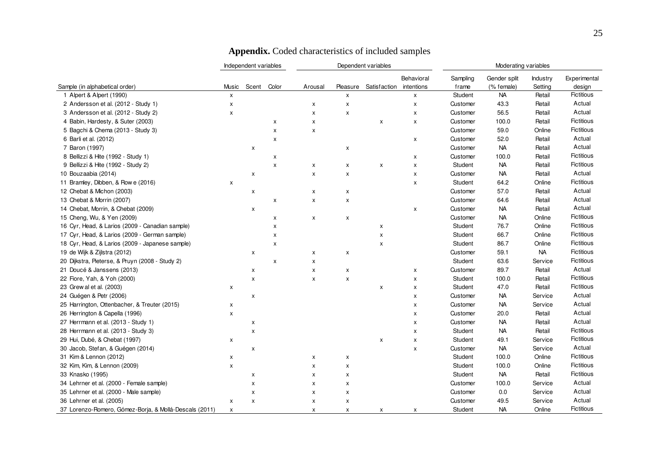|                                                        |              | Independent variables     |       |                    |                | Dependent variables     |            | Moderating variables |              |                 |                   |  |  |
|--------------------------------------------------------|--------------|---------------------------|-------|--------------------|----------------|-------------------------|------------|----------------------|--------------|-----------------|-------------------|--|--|
|                                                        |              |                           |       |                    |                |                         | Behavioral | Sampling             | Gender split | <b>Industry</b> | Experimental      |  |  |
| Sample (in alphabetical order)                         | Music        | Scent                     | Color | Arousal            | Pleasure       | Satisfaction intentions |            | frame                | (% female)   | Setting         | design            |  |  |
| 1 Alpert & Alpert (1990)                               | X            |                           |       |                    | х              |                         | X          | Student              | <b>NA</b>    | Retail          | Fictitious        |  |  |
| 2 Andersson et al. (2012 - Study 1)                    | X            |                           |       | X                  | $\pmb{\times}$ |                         | X          | Customer             | 43.3         | Retail          | Actual            |  |  |
| 3 Andersson et al. (2012 - Study 2)                    | X            |                           |       | X                  | x              |                         | X          | Customer             | 56.5         | Retail          | Actual            |  |  |
| 4 Babin, Hardesty, & Suter (2003)                      |              |                           | X     | X                  |                | X                       | X          | Customer             | 100.0        | Retail          | <b>Fictitious</b> |  |  |
| 5 Bagchi & Chema (2013 - Study 3)                      |              |                           | X     | X                  |                |                         |            | Customer             | 59.0         | Online          | Fictitious        |  |  |
| 6 Barli et al. (2012)                                  |              |                           | x     |                    |                |                         | x          | Customer             | 52.0         | Retail          | Actual            |  |  |
| 7 Baron (1997)                                         |              | X                         |       |                    | X              |                         |            | Customer             | <b>NA</b>    | Retail          | Actual            |  |  |
| 8 Bellizzi & Hite (1992 - Study 1)                     |              |                           | X     |                    |                |                         | х          | Customer             | 100.0        | Retail          | Fictitious        |  |  |
| 9 Bellizzi & Hite (1992 - Study 2)                     |              |                           | x     | X                  | X              | X                       | X          | Student              | <b>NA</b>    | Retail          | Fictitious        |  |  |
| 10 Bouzaabia (2014)                                    |              | X                         |       | X                  | X              |                         | X          | Customer             | <b>NA</b>    | Retail          | Actual            |  |  |
| 11 Bramley, Dibben, & Row e (2016)                     | x            |                           |       |                    |                |                         | X          | Student              | 64.2         | Online          | Fictitious        |  |  |
| 12 Chebat & Michon (2003)                              |              | x                         |       | X                  | X              |                         |            | Customer             | 57.0         | Retail          | Actual            |  |  |
| 13 Chebat & Morrin (2007)                              |              |                           | x     | $\pmb{\mathsf{x}}$ | X              |                         |            | Customer             | 64.6         | Retail          | Actual            |  |  |
| 14 Chebat, Morrin, & Chebat (2009)                     |              | x                         |       |                    |                |                         | X          | Customer             | <b>NA</b>    | Retail          | Actual            |  |  |
| 15 Cheng, Wu, & Yen (2009)                             |              |                           | x     | X                  | X              |                         |            | Customer             | <b>NA</b>    | Online          | <b>Fictitious</b> |  |  |
| 16 Cyr, Head, & Larios (2009 - Canadian sample)        |              |                           | x     |                    |                | X                       |            | Student              | 76.7         | Online          | <b>Fictitious</b> |  |  |
| 17 Cyr, Head, & Larios (2009 - German sample)          |              |                           | x     |                    |                | $\pmb{\times}$          |            | Student              | 66.7         | Online          | Fictitious        |  |  |
| 18 Cyr, Head, & Larios (2009 - Japanese sample)        |              |                           | x     |                    |                | X                       |            | Student              | 86.7         | Online          | <b>Fictitious</b> |  |  |
| 19 de Wijk & Zijlstra (2012)                           |              | x                         |       | X                  | X              |                         |            | Customer             | 59.1         | <b>NA</b>       | <b>Fictitious</b> |  |  |
| 20 Dijkstra, Pieterse, & Pruyn (2008 - Study 2)        |              |                           | X     | $\pmb{\mathsf{x}}$ |                |                         |            | Student              | 63.6         | Service         | <b>Fictitious</b> |  |  |
| 21 Doucé & Janssens (2013)                             |              | x                         |       | X                  | X              |                         | X          | Customer             | 89.7         | Retail          | Actual            |  |  |
| 22 Fiore, Yah, & Yoh (2000)                            |              | X                         |       | X                  | X              |                         | x          | Student              | 100.0        | Retail          | <b>Fictitious</b> |  |  |
| 23 Grew al et al. (2003)                               | X            |                           |       |                    |                | X                       | x          | Student              | 47.0         | Retail          | <b>Fictitious</b> |  |  |
| 24 Guégen & Petr (2006)                                |              | X                         |       |                    |                |                         | x          | Customer             | <b>NA</b>    | Service         | Actual            |  |  |
| 25 Harrington, Ottenbacher, & Treuter (2015)           | x            |                           |       |                    |                |                         | x          | Customer             | <b>NA</b>    | Service         | Actual            |  |  |
| 26 Herrington & Capella (1996)                         | x            |                           |       |                    |                |                         | x          | Customer             | 20.0         | Retail          | Actual            |  |  |
| 27 Herrmann et al. (2013 - Study 1)                    |              | x                         |       |                    |                |                         | x          | Customer             | <b>NA</b>    | Retail          | Actual            |  |  |
| 28 Herrmann et al. (2013 - Study 3)                    |              | X                         |       |                    |                |                         | x          | Student              | <b>NA</b>    | Retail          | <b>Fictitious</b> |  |  |
| 29 Hui, Dubé, & Chebat (1997)                          | х            |                           |       |                    |                | X                       | X          | Student              | 49.1         | Service         | <b>Fictitious</b> |  |  |
| 30 Jacob, Stefan, & Guégen (2014)                      |              | X                         |       |                    |                |                         | x          | Customer             | <b>NA</b>    | Service         | Actual            |  |  |
| 31 Kim & Lennon (2012)                                 | x            |                           |       | X                  | x              |                         |            | Student              | 100.0        | Online          | <b>Fictitious</b> |  |  |
| 32 Kim, Kim, & Lennon (2009)                           | x            |                           |       | $\pmb{\times}$     | X              |                         |            | Student              | 100.0        | Online          | <b>Fictitious</b> |  |  |
| 33 Knasko (1995)                                       |              | X                         |       | $\mathsf{x}$       | X              |                         |            | Student              | <b>NA</b>    | Retail          | <b>Fictitious</b> |  |  |
| 34 Lehrner et al. (2000 - Female sample)               |              | X                         |       | $\pmb{\times}$     | X              |                         |            | Customer             | 100.0        | Service         | Actual            |  |  |
| 35 Lehrner et al. (2000 - Male sample)                 |              | $\boldsymbol{\mathsf{x}}$ |       | $\pmb{\times}$     | X              |                         |            | Customer             | 0.0          | Service         | Actual            |  |  |
| 36 Lehrner et al. (2005)                               | x            | X                         |       | $\pmb{\times}$     | X              |                         |            | Customer             | 49.5         | Service         | Actual            |  |  |
| 37 Lorenzo-Romero, Gómez-Boria, & Mollá-Descals (2011) | $\mathsf{x}$ |                           |       | $\mathsf{x}$       | X              | X                       | X          | Student              | <b>NA</b>    | Online          | <b>Fictitious</b> |  |  |

### **Appendix.** Coded characteristics of included samples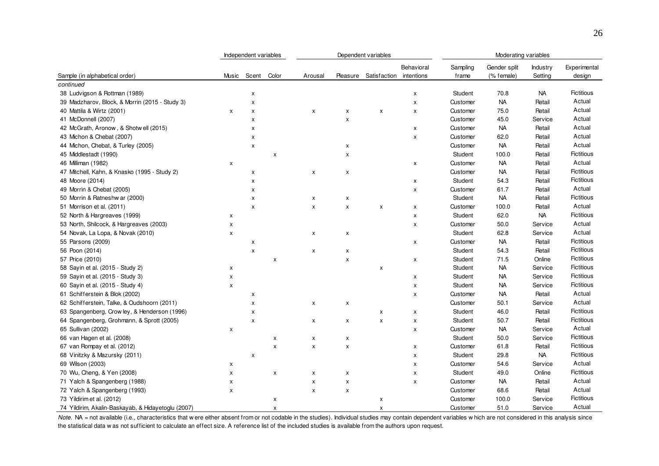|                                                    |       | Independent variables     |       |                    |                | Dependent variables     |                    | Moderating variables |              |                 |                   |  |  |  |
|----------------------------------------------------|-------|---------------------------|-------|--------------------|----------------|-------------------------|--------------------|----------------------|--------------|-----------------|-------------------|--|--|--|
|                                                    |       |                           |       |                    |                |                         | Behavioral         | Sampling             | Gender split | <b>Industry</b> | Experimental      |  |  |  |
| Sample (in alphabetical order)                     | Music | Scent                     | Color | Arousal            | Pleasure       | Satisfaction intentions |                    | frame                | (% female)   | Setting         | design            |  |  |  |
| continued                                          |       |                           |       |                    |                |                         |                    |                      |              |                 |                   |  |  |  |
| 38 Ludvigson & Rottman (1989)                      |       | X                         |       |                    |                |                         | X                  | Student              | 70.8         | NA              | <b>Fictitious</b> |  |  |  |
| 39 Madzharov, Block, & Morrin (2015 - Study 3)     |       | $\boldsymbol{\mathsf{x}}$ |       |                    |                |                         | $\pmb{\times}$     | Customer             | <b>NA</b>    | Retail          | Actual            |  |  |  |
| 40 Mattila & Wirtz (2001)                          | X     | X                         |       | X                  | х              | X                       | X                  | Customer             | 75.0         | Retail          | Actual            |  |  |  |
| 41 McDonnell (2007)                                |       | X                         |       |                    | X              |                         |                    | Customer             | 45.0         | Service         | Actual            |  |  |  |
| 42 McGrath, Aronow, & Shotwell (2015)              |       | X                         |       |                    |                |                         | X                  | Customer             | <b>NA</b>    | Retail          | Actual            |  |  |  |
| 43 Michon & Chebat (2007)                          |       | $\boldsymbol{\mathsf{x}}$ |       |                    |                |                         | $\pmb{\mathsf{x}}$ | Customer             | 62.0         | Retail          | Actual            |  |  |  |
| 44 Michon, Chebat, & Turley (2005)                 |       | X                         |       |                    | х              |                         |                    | Customer             | <b>NA</b>    | Retail          | Actual            |  |  |  |
| 45 Middlestadt (1990)                              |       |                           | x     |                    | x              |                         |                    | Student              | 100.0        | Retail          | <b>Fictitious</b> |  |  |  |
| 46 Milliman (1982)                                 | x     |                           |       |                    |                |                         | x                  | Customer             | <b>NA</b>    | Retail          | Actual            |  |  |  |
| 47 Mitchell, Kahn, & Knasko (1995 - Study 2)       |       | X                         |       | $\pmb{\times}$     | x              |                         |                    | Customer             | <b>NA</b>    | Retail          | Fictitious        |  |  |  |
| 48 Moore (2014)                                    |       | X                         |       |                    |                |                         | X                  | Student              | 54.3         | Retail          | Fictitious        |  |  |  |
| 49 Morrin & Chebat (2005)                          |       | X                         |       |                    |                |                         | X                  | Customer             | 61.7         | Retail          | Actual            |  |  |  |
| 50 Morrin & Ratneshw ar (2000)                     |       | X                         |       | X                  | x              |                         |                    | Student              | <b>NA</b>    | Retail          | <b>Fictitious</b> |  |  |  |
| 51 Morrison et al. (2011)                          |       | X                         |       | $\pmb{\times}$     | $\pmb{\times}$ | $\pmb{\mathsf{X}}$      | X                  | Customer             | 100.0        | Retail          | Actual            |  |  |  |
| 52 North & Hargreaves (1999)                       | X     |                           |       |                    |                |                         | $\pmb{\mathsf{x}}$ | Student              | 62.0         | <b>NA</b>       | <b>Fictitious</b> |  |  |  |
| 53 North, Shilcock, & Hargreaves (2003)            | x     |                           |       |                    |                |                         | $\pmb{\times}$     | Customer             | 50.0         | Service         | Actual            |  |  |  |
| 54 Novak, La Lopa, & Novak (2010)                  | X     |                           |       | X                  | X              |                         |                    | Student              | 62.8         | Service         | Actual            |  |  |  |
| 55 Parsons (2009)                                  |       | x                         |       |                    |                |                         | X                  | Customer             | <b>NA</b>    | Retail          | <b>Fictitious</b> |  |  |  |
| 56 Poon (2014)                                     |       | $\mathsf{x}$              |       | $\pmb{\mathsf{X}}$ | X              |                         |                    | Student              | 54.3         | Retail          | Fictitious        |  |  |  |
| 57 Price (2010)                                    |       |                           | x     |                    | X              |                         | X                  | Student              | 71.5         | Online          | Fictitious        |  |  |  |
| 58 Sayin et al. (2015 - Study 2)                   | x     |                           |       |                    |                | x                       |                    | Student              | <b>NA</b>    | Service         | <b>Fictitious</b> |  |  |  |
| 59 Sayin et al. (2015 - Study 3)                   | X     |                           |       |                    |                |                         | X                  | Student              | <b>NA</b>    | Service         | Fictitious        |  |  |  |
| 60 Sayin et al. (2015 - Study 4)                   | x     |                           |       |                    |                |                         | $\pmb{\times}$     | <b>Student</b>       | NA           | Service         | <b>Fictitious</b> |  |  |  |
| 61 Schifferstein & Blok (2002)                     |       | X                         |       |                    |                |                         | $\pmb{\mathsf{x}}$ | Customer             | <b>NA</b>    | Retail          | Actual            |  |  |  |
| 62 Schifferstein, Talke, & Oudshoorn (2011)        |       | X                         |       | X                  | X              |                         |                    | Customer             | 50.1         | Service         | Actual            |  |  |  |
| 63 Spangenberg, Crowley, & Henderson (1996)        |       | $\boldsymbol{\mathsf{x}}$ |       |                    |                | X                       | X                  | Student              | 46.0         | Retail          | <b>Fictitious</b> |  |  |  |
| 64 Spangenberg, Grohmann, & Sprott (2005)          |       | X                         |       | X                  | X              | X                       | X                  | Student              | 50.7         | Retail          | Fictitious        |  |  |  |
| 65 Sullivan (2002)                                 | x     |                           |       |                    |                |                         | X                  | Customer             | <b>NA</b>    | Service         | Actual            |  |  |  |
| 66 van Hagen et al. (2008)                         |       |                           | x     | X                  | X              |                         |                    | Student              | 50.0         | Service         | Fictitious        |  |  |  |
| 67 van Rompay et al. (2012)                        |       |                           | X     | $\pmb{\times}$     | X              |                         | X                  | Customer             | 61.8         | Retail          | <b>Fictitious</b> |  |  |  |
| 68 Vinitzky & Mazursky (2011)                      |       | X                         |       |                    |                |                         | $\pmb{\times}$     | Student              | 29.8         | <b>NA</b>       | <b>Fictitious</b> |  |  |  |
| 69 Wilson (2003)                                   | x     |                           |       |                    |                |                         | X                  | Customer             | 54.6         | Service         | Actual            |  |  |  |
| 70 Wu, Cheng, & Yen (2008)                         | x     |                           | x     | X                  | x              |                         | X                  | Student              | 49.0         | Online          | <b>Fictitious</b> |  |  |  |
| 71 Yalch & Spangenberg (1988)                      | x     |                           |       | $\pmb{\times}$     | x              |                         | $\pmb{\times}$     | Customer             | <b>NA</b>    | Retail          | Actual            |  |  |  |
| 72 Yalch & Spangenberg (1993)                      | X     |                           |       | $\pmb{\times}$     | X              |                         |                    | Customer             | 68.6         | Retail          | Actual            |  |  |  |
| 73 Yildirim et al. (2012)                          |       |                           | x     |                    |                | X                       |                    | Customer             | 100.0        | Service         | <b>Fictitious</b> |  |  |  |
| 74 Yildirim, Akalin-Baskayab, & Hidayetoglu (2007) |       |                           | x     |                    |                | X                       |                    | Customer             | 51.0         | Service         | Actual            |  |  |  |

Note. NA = not available (i.e., characteristics that w ere either absent from or not codable in the studies). Individual studies may contain dependent variables w hich are not considered in this analysis since the statistical data w as not sufficient to calculate an effect size. A reference list of the included studies is available from the authors upon request.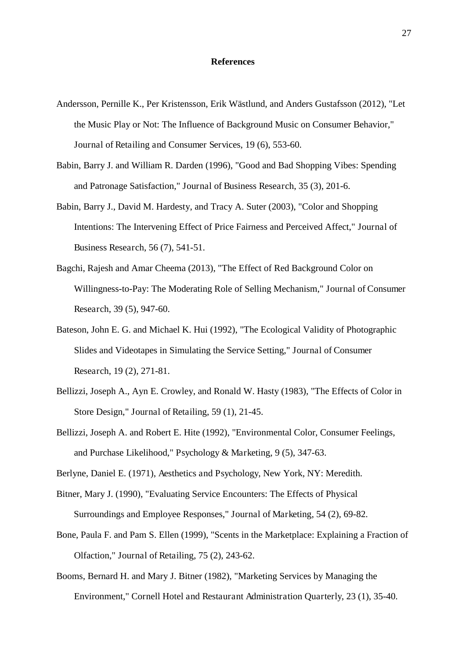#### **References**

- Andersson, Pernille K., Per Kristensson, Erik Wästlund, and Anders Gustafsson (2012), "Let the Music Play or Not: The Influence of Background Music on Consumer Behavior," Journal of Retailing and Consumer Services, 19 (6), 553-60.
- Babin, Barry J. and William R. Darden (1996), "Good and Bad Shopping Vibes: Spending and Patronage Satisfaction," Journal of Business Research, 35 (3), 201-6.
- Babin, Barry J., David M. Hardesty, and Tracy A. Suter (2003), "Color and Shopping Intentions: The Intervening Effect of Price Fairness and Perceived Affect," Journal of Business Research, 56 (7), 541-51.
- Bagchi, Rajesh and Amar Cheema (2013), "The Effect of Red Background Color on Willingness-to-Pay: The Moderating Role of Selling Mechanism," Journal of Consumer Research, 39 (5), 947-60.
- Bateson, John E. G. and Michael K. Hui (1992), "The Ecological Validity of Photographic Slides and Videotapes in Simulating the Service Setting," Journal of Consumer Research, 19 (2), 271-81.
- Bellizzi, Joseph A., Ayn E. Crowley, and Ronald W. Hasty (1983), "The Effects of Color in Store Design," Journal of Retailing, 59 (1), 21-45.
- Bellizzi, Joseph A. and Robert E. Hite (1992), "Environmental Color, Consumer Feelings, and Purchase Likelihood," Psychology & Marketing, 9 (5), 347-63.

Berlyne, Daniel E. (1971), Aesthetics and Psychology, New York, NY: Meredith.

- Bitner, Mary J. (1990), "Evaluating Service Encounters: The Effects of Physical Surroundings and Employee Responses," Journal of Marketing, 54 (2), 69-82.
- Bone, Paula F. and Pam S. Ellen (1999), "Scents in the Marketplace: Explaining a Fraction of Olfaction," Journal of Retailing, 75 (2), 243-62.
- Booms, Bernard H. and Mary J. Bitner (1982), "Marketing Services by Managing the Environment," Cornell Hotel and Restaurant Administration Quarterly, 23 (1), 35-40.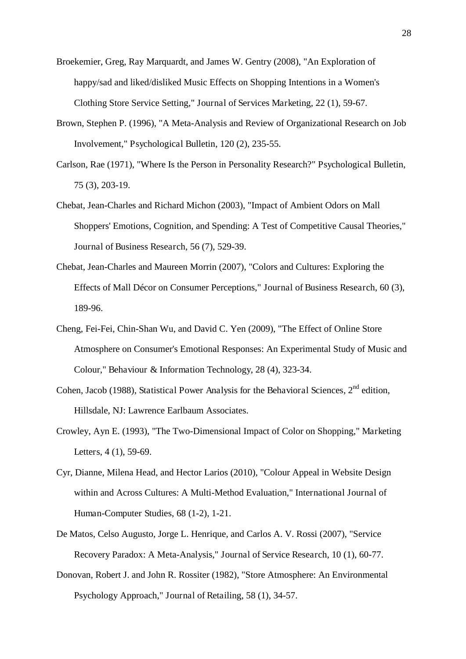- Broekemier, Greg, Ray Marquardt, and James W. Gentry (2008), "An Exploration of happy/sad and liked/disliked Music Effects on Shopping Intentions in a Women's Clothing Store Service Setting," Journal of Services Marketing, 22 (1), 59-67.
- Brown, Stephen P. (1996), "A Meta-Analysis and Review of Organizational Research on Job Involvement," Psychological Bulletin, 120 (2), 235-55.
- Carlson, Rae (1971), "Where Is the Person in Personality Research?" Psychological Bulletin, 75 (3), 203-19.
- Chebat, Jean-Charles and Richard Michon (2003), "Impact of Ambient Odors on Mall Shoppers' Emotions, Cognition, and Spending: A Test of Competitive Causal Theories," Journal of Business Research, 56 (7), 529-39.
- Chebat, Jean-Charles and Maureen Morrin (2007), "Colors and Cultures: Exploring the Effects of Mall Décor on Consumer Perceptions," Journal of Business Research, 60 (3), 189-96.
- Cheng, Fei-Fei, Chin-Shan Wu, and David C. Yen (2009), "The Effect of Online Store Atmosphere on Consumer's Emotional Responses: An Experimental Study of Music and Colour," Behaviour & Information Technology, 28 (4), 323-34.
- Cohen, Jacob (1988), Statistical Power Analysis for the Behavioral Sciences,  $2<sup>nd</sup>$  edition, Hillsdale, NJ: Lawrence Earlbaum Associates.
- Crowley, Ayn E. (1993), "The Two-Dimensional Impact of Color on Shopping," Marketing Letters, 4 (1), 59-69.
- Cyr, Dianne, Milena Head, and Hector Larios (2010), "Colour Appeal in Website Design within and Across Cultures: A Multi-Method Evaluation," International Journal of Human-Computer Studies, 68 (1-2), 1-21.
- De Matos, Celso Augusto, Jorge L. Henrique, and Carlos A. V. Rossi (2007), "Service Recovery Paradox: A Meta-Analysis," Journal of Service Research, 10 (1), 60-77.
- Donovan, Robert J. and John R. Rossiter (1982), "Store Atmosphere: An Environmental Psychology Approach," Journal of Retailing, 58 (1), 34-57.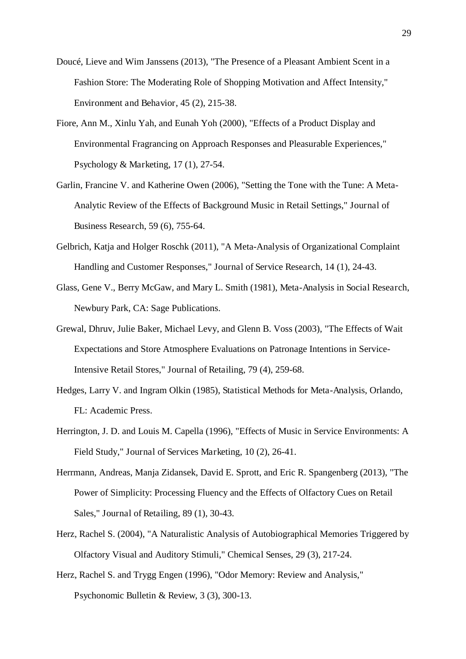- Doucé, Lieve and Wim Janssens (2013), "The Presence of a Pleasant Ambient Scent in a Fashion Store: The Moderating Role of Shopping Motivation and Affect Intensity," Environment and Behavior, 45 (2), 215-38.
- Fiore, Ann M., Xinlu Yah, and Eunah Yoh (2000), "Effects of a Product Display and Environmental Fragrancing on Approach Responses and Pleasurable Experiences," Psychology & Marketing, 17 (1), 27-54.
- Garlin, Francine V. and Katherine Owen (2006), "Setting the Tone with the Tune: A Meta-Analytic Review of the Effects of Background Music in Retail Settings," Journal of Business Research, 59 (6), 755-64.
- Gelbrich, Katja and Holger Roschk (2011), "A Meta-Analysis of Organizational Complaint Handling and Customer Responses," Journal of Service Research, 14 (1), 24-43.
- Glass, Gene V., Berry McGaw, and Mary L. Smith (1981), Meta-Analysis in Social Research, Newbury Park, CA: Sage Publications.
- Grewal, Dhruv, Julie Baker, Michael Levy, and Glenn B. Voss (2003), "The Effects of Wait Expectations and Store Atmosphere Evaluations on Patronage Intentions in Service-Intensive Retail Stores," Journal of Retailing, 79 (4), 259-68.
- Hedges, Larry V. and Ingram Olkin (1985), Statistical Methods for Meta-Analysis, Orlando, FL: Academic Press.
- Herrington, J. D. and Louis M. Capella (1996), "Effects of Music in Service Environments: A Field Study," Journal of Services Marketing, 10 (2), 26-41.
- Herrmann, Andreas, Manja Zidansek, David E. Sprott, and Eric R. Spangenberg (2013), "The Power of Simplicity: Processing Fluency and the Effects of Olfactory Cues on Retail Sales," Journal of Retailing, 89 (1), 30-43.
- Herz, Rachel S. (2004), "A Naturalistic Analysis of Autobiographical Memories Triggered by Olfactory Visual and Auditory Stimuli," Chemical Senses, 29 (3), 217-24.
- Herz, Rachel S. and Trygg Engen (1996), "Odor Memory: Review and Analysis," Psychonomic Bulletin & Review, 3 (3), 300-13.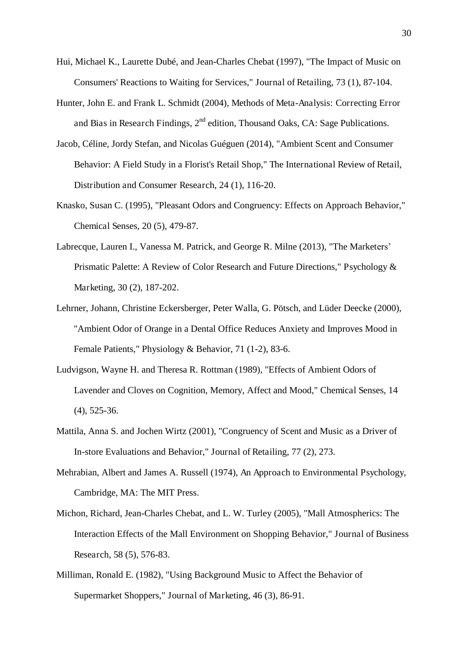- Hui, Michael K., Laurette Dubé, and Jean-Charles Chebat (1997), "The Impact of Music on Consumers' Reactions to Waiting for Services," Journal of Retailing, 73 (1), 87-104.
- Hunter, John E. and Frank L. Schmidt (2004), Methods of Meta-Analysis: Correcting Error and Bias in Research Findings,  $2<sup>nd</sup>$  edition, Thousand Oaks, CA: Sage Publications.
- Jacob, Céline, Jordy Stefan, and Nicolas Guéguen (2014), "Ambient Scent and Consumer Behavior: A Field Study in a Florist's Retail Shop," The International Review of Retail, Distribution and Consumer Research, 24 (1), 116-20.
- Knasko, Susan C. (1995), "Pleasant Odors and Congruency: Effects on Approach Behavior," Chemical Senses, 20 (5), 479-87.
- Labrecque, Lauren I., Vanessa M. Patrick, and George R. Milne (2013), "The Marketers' Prismatic Palette: A Review of Color Research and Future Directions," Psychology & Marketing, 30 (2), 187-202.
- Lehrner, Johann, Christine Eckersberger, Peter Walla, G. Pötsch, and Lüder Deecke (2000), "Ambient Odor of Orange in a Dental Office Reduces Anxiety and Improves Mood in Female Patients," Physiology & Behavior, 71 (1-2), 83-6.
- Ludvigson, Wayne H. and Theresa R. Rottman (1989), "Effects of Ambient Odors of Lavender and Cloves on Cognition, Memory, Affect and Mood," Chemical Senses, 14 (4), 525-36.
- Mattila, Anna S. and Jochen Wirtz (2001), "Congruency of Scent and Music as a Driver of In-store Evaluations and Behavior," Journal of Retailing, 77 (2), 273.
- Mehrabian, Albert and James A. Russell (1974), An Approach to Environmental Psychology, Cambridge, MA: The MIT Press.
- Michon, Richard, Jean-Charles Chebat, and L. W. Turley (2005), "Mall Atmospherics: The Interaction Effects of the Mall Environment on Shopping Behavior," Journal of Business Research, 58 (5), 576-83.
- Milliman, Ronald E. (1982), "Using Background Music to Affect the Behavior of Supermarket Shoppers," Journal of Marketing, 46 (3), 86-91.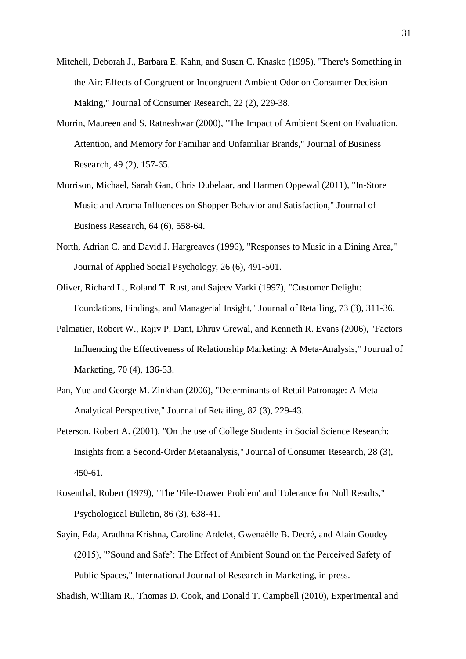- Mitchell, Deborah J., Barbara E. Kahn, and Susan C. Knasko (1995), "There's Something in the Air: Effects of Congruent or Incongruent Ambient Odor on Consumer Decision Making," Journal of Consumer Research, 22 (2), 229-38.
- Morrin, Maureen and S. Ratneshwar (2000), "The Impact of Ambient Scent on Evaluation, Attention, and Memory for Familiar and Unfamiliar Brands," Journal of Business Research, 49 (2), 157-65.
- Morrison, Michael, Sarah Gan, Chris Dubelaar, and Harmen Oppewal (2011), "In-Store Music and Aroma Influences on Shopper Behavior and Satisfaction," Journal of Business Research, 64 (6), 558-64.
- North, Adrian C. and David J. Hargreaves (1996), "Responses to Music in a Dining Area," Journal of Applied Social Psychology, 26 (6), 491-501.
- Oliver, Richard L., Roland T. Rust, and Sajeev Varki (1997), "Customer Delight: Foundations, Findings, and Managerial Insight," Journal of Retailing, 73 (3), 311-36.
- Palmatier, Robert W., Rajiv P. Dant, Dhruv Grewal, and Kenneth R. Evans (2006), "Factors Influencing the Effectiveness of Relationship Marketing: A Meta-Analysis," Journal of Marketing, 70 (4), 136-53.
- Pan, Yue and George M. Zinkhan (2006), "Determinants of Retail Patronage: A Meta-Analytical Perspective," Journal of Retailing, 82 (3), 229-43.
- Peterson, Robert A. (2001), "On the use of College Students in Social Science Research: Insights from a Second-Order Metaanalysis," Journal of Consumer Research, 28 (3), 450-61.
- Rosenthal, Robert (1979), "The 'File-Drawer Problem' and Tolerance for Null Results," Psychological Bulletin, 86 (3), 638-41.
- Sayin, Eda, Aradhna Krishna, Caroline Ardelet, Gwenaëlle B. Decré, and Alain Goudey (2015), "'Sound and Safe': The Effect of Ambient Sound on the Perceived Safety of Public Spaces," International Journal of Research in Marketing, in press.

Shadish, William R., Thomas D. Cook, and Donald T. Campbell (2010), Experimental and